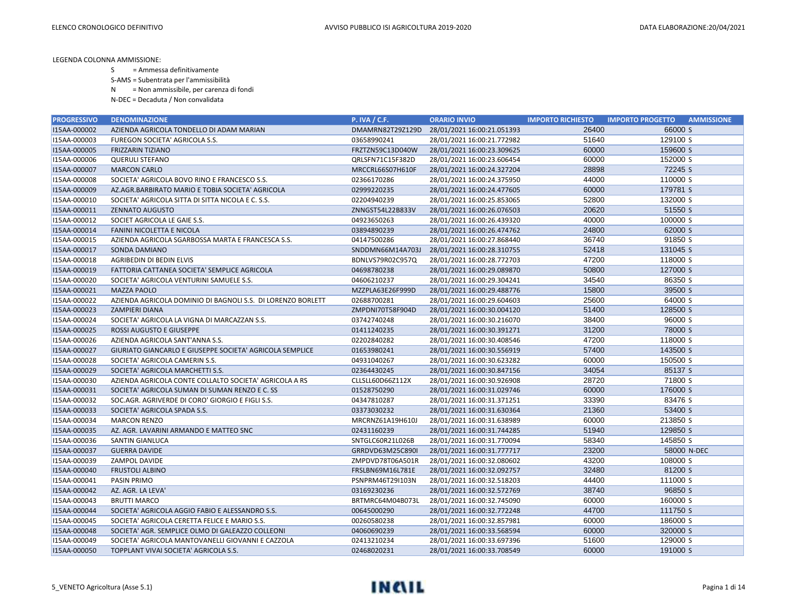S = Ammessa definitivamente

S-AMS = Subentrata per l'ammissibilità

N = Non ammissibile, per carenza di fondi

| <b>PROGRESSIVO</b> | <b>DENOMINAZIONE</b>                                        | <b>P. IVA / C.F.</b> | <b>ORARIO INVIO</b>        | <b>IMPORTO RICHIESTO</b> | <b>IMPORTO PROGETTO</b><br><b>AMMISSIONE</b> |
|--------------------|-------------------------------------------------------------|----------------------|----------------------------|--------------------------|----------------------------------------------|
| I15AA-000002       | AZIENDA AGRICOLA TONDELLO DI ADAM MARIAN                    | DMAMRN82T29Z129D     | 28/01/2021 16:00:21.051393 | 26400                    | 66000 S                                      |
| I15AA-000003       | FUREGON SOCIETA' AGRICOLA S.S.                              | 03658990241          | 28/01/2021 16:00:21.772982 | 51640                    | 129100 S                                     |
| I15AA-000005       | <b>FRIZZARIN TIZIANO</b>                                    | FRZTZN59C13D040W     | 28/01/2021 16:00:23.309625 | 60000                    | 159600 S                                     |
| I15AA-000006       | <b>QUERULI STEFANO</b>                                      | QRLSFN71C15F382D     | 28/01/2021 16:00:23.606454 | 60000                    | 152000 S                                     |
| I15AA-000007       | <b>MARCON CARLO</b>                                         | MRCCRL66S07H610F     | 28/01/2021 16:00:24.327204 | 28898                    | 72245 S                                      |
| I15AA-000008       | SOCIETA' AGRICOLA BOVO RINO E FRANCESCO S.S.                | 02366170286          | 28/01/2021 16:00:24.375950 | 44000                    | 110000 S                                     |
| I15AA-000009       | AZ.AGR.BARBIRATO MARIO E TOBIA SOCIETA' AGRICOLA            | 02999220235          | 28/01/2021 16:00:24.477605 | 60000                    | 179781 S                                     |
| I15AA-000010       | SOCIETA' AGRICOLA SITTA DI SITTA NICOLA E C. S.S.           | 02204940239          | 28/01/2021 16:00:25.853065 | 52800                    | 132000 S                                     |
| I15AA-000011       | <b>ZENNATO AUGUSTO</b>                                      | ZNNGST54L22B833V     | 28/01/2021 16:00:26.076503 | 20620                    | 51550 S                                      |
| I15AA-000012       | SOCIET AGRICOLA LE GAIE S.S.                                | 04923650263          | 28/01/2021 16:00:26.439320 | 40000                    | 100000 S                                     |
| I15AA-000014       | FANINI NICOLETTA E NICOLA                                   | 03894890239          | 28/01/2021 16:00:26.474762 | 24800                    | 62000 S                                      |
| I15AA-000015       | AZIENDA AGRICOLA SGARBOSSA MARTA E FRANCESCA S.S.           | 04147500286          | 28/01/2021 16:00:27.868440 | 36740                    | 91850 S                                      |
| I15AA-000017       | SONDA DAMIANO                                               | SNDDMN66M14A703J     | 28/01/2021 16:00:28.310755 | 52418                    | 131045 S                                     |
| I15AA-000018       | AGRIBEDIN DI BEDIN ELVIS                                    | BDNLVS79R02C957Q     | 28/01/2021 16:00:28.772703 | 47200                    | 118000 S                                     |
| I15AA-000019       | FATTORIA CATTANEA SOCIETA' SEMPLICE AGRICOLA                | 04698780238          | 28/01/2021 16:00:29.089870 | 50800                    | 127000 S                                     |
| I15AA-000020       | SOCIETA' AGRICOLA VENTURINI SAMUELE S.S.                    | 04606210237          | 28/01/2021 16:00:29.304241 | 34540                    | 86350 S                                      |
| I15AA-000021       | <b>MAZZA PAOLO</b>                                          | MZZPLA63E26F999D     | 28/01/2021 16:00:29.488776 | 15800                    | 39500 S                                      |
| I15AA-000022       | AZIENDA AGRICOLA DOMINIO DI BAGNOLI S.S. DI LORENZO BORLETT | 02688700281          | 28/01/2021 16:00:29.604603 | 25600                    | 64000 S                                      |
| I15AA-000023       | <b>ZAMPIERI DIANA</b>                                       | ZMPDNI70T58F904D     | 28/01/2021 16:00:30.004120 | 51400                    | 128500 S                                     |
| I15AA-000024       | SOCIETA' AGRICOLA LA VIGNA DI MARCAZZAN S.S.                | 03742740248          | 28/01/2021 16:00:30.216070 | 38400                    | 96000 S                                      |
| I15AA-000025       | ROSSI AUGUSTO E GIUSEPPE                                    | 01411240235          | 28/01/2021 16:00:30.391271 | 31200                    | 78000 S                                      |
| I15AA-000026       | AZIENDA AGRICOLA SANT'ANNA S.S.                             | 02202840282          | 28/01/2021 16:00:30.408546 | 47200                    | 118000 S                                     |
| I15AA-000027       | GIURIATO GIANCARLO E GIUSEPPE SOCIETA' AGRICOLA SEMPLICE    | 01653980241          | 28/01/2021 16:00:30.556919 | 57400                    | 143500 S                                     |
| I15AA-000028       | SOCIETA' AGRICOLA CAMERIN S.S.                              | 04931040267          | 28/01/2021 16:00:30.623282 | 60000                    | 150500 S                                     |
| I15AA-000029       | SOCIETA' AGRICOLA MARCHETTI S.S.                            | 02364430245          | 28/01/2021 16:00:30.847156 | 34054                    | 85137 S                                      |
| I15AA-000030       | AZIENDA AGRICOLA CONTE COLLALTO SOCIETA' AGRICOLA A RS      | CLLSLL60D66Z112X     | 28/01/2021 16:00:30.926908 | 28720                    | 71800 S                                      |
| I15AA-000031       | SOCIETA' AGRICOLA SUMAN DI SUMAN RENZO E C. SS              | 01528750290          | 28/01/2021 16:00:31.029746 | 60000                    | 176000 S                                     |
| I15AA-000032       | SOC.AGR. AGRIVERDE DI CORO' GIORGIO E FIGLI S.S.            | 04347810287          | 28/01/2021 16:00:31.371251 | 33390                    | 83476 S                                      |
| I15AA-000033       | SOCIETA' AGRICOLA SPADA S.S.                                | 03373030232          | 28/01/2021 16:00:31.630364 | 21360                    | 53400 S                                      |
| I15AA-000034       | <b>MARCON RENZO</b>                                         | MRCRNZ61A19H610J     | 28/01/2021 16:00:31.638989 | 60000                    | 213850 S                                     |
| I15AA-000035       | AZ. AGR. LAVARINI ARMANDO E MATTEO SNC                      | 02431160239          | 28/01/2021 16:00:31.744285 | 51940                    | 129850 S                                     |
| I15AA-000036       | SANTIN GIANLUCA                                             | SNTGLC60R21L026B     | 28/01/2021 16:00:31.770094 | 58340                    | 145850 S                                     |
| I15AA-000037       | <b>GUERRA DAVIDE</b>                                        | GRRDVD63M25C890I     | 28/01/2021 16:00:31.777717 | 23200                    | 58000 N-DEC                                  |
| I15AA-000039       | ZAMPOL DAVIDE                                               | ZMPDVD78T06A501R     | 28/01/2021 16:00:32.080602 | 43200                    | 108000 S                                     |
| I15AA-000040       | <b>FRUSTOLI ALBINO</b>                                      | FRSLBN69M16L781E     | 28/01/2021 16:00:32.092757 | 32480                    | 81200 S                                      |
| I15AA-000041       | PASIN PRIMO                                                 | PSNPRM46T29I103N     | 28/01/2021 16:00:32.518203 | 44400                    | 111000 S                                     |
| I15AA-000042       | AZ. AGR. LA LEVA'                                           | 03169230236          | 28/01/2021 16:00:32.572769 | 38740                    | 96850 S                                      |
| I15AA-000043       | <b>BRUTTI MARCO</b>                                         | BRTMRC64M04B073L     | 28/01/2021 16:00:32.745090 | 60000                    | 160000 S                                     |
| I15AA-000044       | SOCIETA' AGRICOLA AGGIO FABIO E ALESSANDRO S.S.             | 00645000290          | 28/01/2021 16:00:32.772248 | 44700                    | 111750 S                                     |
| I15AA-000045       | SOCIETA' AGRICOLA CERETTA FELICE E MARIO S.S.               | 00260580238          | 28/01/2021 16:00:32.857981 | 60000                    | 186000 S                                     |
| I15AA-000048       | SOCIETA' AGR. SEMPLICE OLMO DI GALEAZZO COLLEONI            | 04060690239          | 28/01/2021 16:00:33.568594 | 60000                    | 320000 S                                     |
| I15AA-000049       | SOCIETA' AGRICOLA MANTOVANELLI GIOVANNI E CAZZOLA           | 02413210234          | 28/01/2021 16:00:33.697396 | 51600                    | 129000 S                                     |
| I15AA-000050       | TOPPLANT VIVAI SOCIETA' AGRICOLA S.S.                       | 02468020231          | 28/01/2021 16:00:33.708549 | 60000                    | 191000 S                                     |

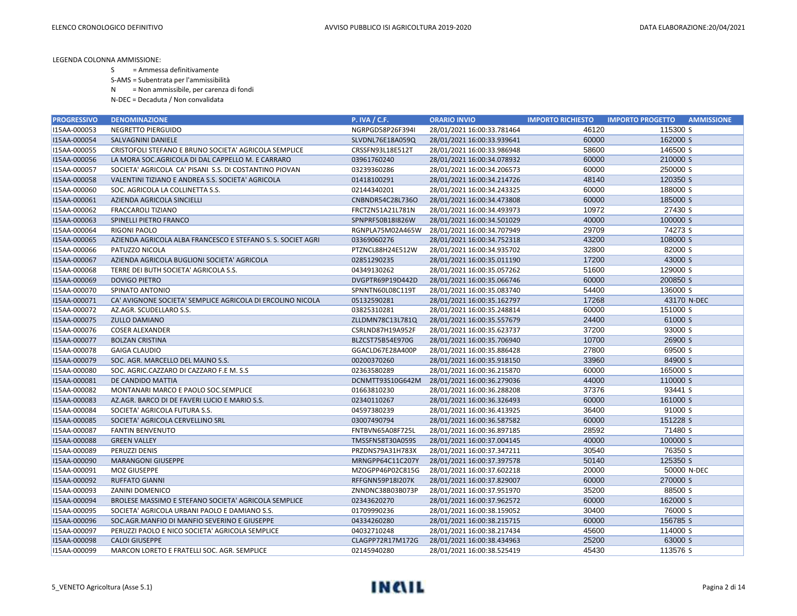- S = Ammessa definitivamente
- S-AMS = Subentrata per l'ammissibilità
- N = Non ammissibile, per carenza di fondi
- N-DEC = Decaduta / Non convalidata

| <b>PROGRESSIVO</b> | <b>DENOMINAZIONE</b>                                        | <b>P. IVA / C.F.</b>    | <b>ORARIO INVIO</b>        | <b>IMPORTO RICHIESTO</b> | <b>IMPORTO PROGETTO</b><br><b>AMMISSIONE</b> |
|--------------------|-------------------------------------------------------------|-------------------------|----------------------------|--------------------------|----------------------------------------------|
| I15AA-000053       | NEGRETTO PIERGUIDO                                          | NGRPGD58P26F394I        | 28/01/2021 16:00:33.781464 | 46120                    | 115300 S                                     |
| I15AA-000054       | SALVAGNINI DANIELE                                          | SLVDNL76E18A059Q        | 28/01/2021 16:00:33.939641 | 60000                    | 162000 S                                     |
| I15AA-000055       | CRISTOFOLI STEFANO E BRUNO SOCIETA' AGRICOLA SEMPLICE       | CRSSFN93L18E512T        | 28/01/2021 16:00:33.986948 | 58600                    | 146500 S                                     |
| I15AA-000056       | LA MORA SOC. AGRICOLA DI DAL CAPPELLO M. E CARRARO          | 03961760240             | 28/01/2021 16:00:34.078932 | 60000                    | 210000 S                                     |
| I15AA-000057       | SOCIETA' AGRICOLA CA' PISANI S.S. DI COSTANTINO PIOVAN      | 03239360286             | 28/01/2021 16:00:34.206573 | 60000                    | 250000 S                                     |
| I15AA-000058       | VALENTINI TIZIANO E ANDREA S.S. SOCIETA' AGRICOLA           | 01418100291             | 28/01/2021 16:00:34.214726 | 48140                    | 120350 S                                     |
| I15AA-000060       | SOC. AGRICOLA LA COLLINETTA S.S.                            | 02144340201             | 28/01/2021 16:00:34.243325 | 60000                    | 188000 S                                     |
| I15AA-000061       | AZIENDA AGRICOLA SINCIELLI                                  | CNBNDR54C28L736O        | 28/01/2021 16:00:34.473808 | 60000                    | 185000 S                                     |
| I15AA-000062       | FRACCAROLI TIZIANO                                          | FRCTZN51A21L781N        | 28/01/2021 16:00:34.493973 | 10972                    | 27430 S                                      |
| I15AA-000063       | SPINELLI PIETRO FRANCO                                      | SPNPRF50B18I826W        | 28/01/2021 16:00:34.501029 | 40000                    | 100000 S                                     |
| I15AA-000064       | RIGONI PAOLO                                                | RGNPLA75M02A465W        | 28/01/2021 16:00:34.707949 | 29709                    | 74273 S                                      |
| I15AA-000065       | AZIENDA AGRICOLA ALBA FRANCESCO E STEFANO S. S. SOCIET AGRI | 03369060276             | 28/01/2021 16:00:34.752318 | 43200                    | 108000 S                                     |
| I15AA-000066       | PATUZZO NICOLA                                              | PTZNCL88H24E512W        | 28/01/2021 16:00:34.935702 | 32800                    | 82000 S                                      |
| I15AA-000067       | AZIENDA AGRICOLA BUGLIONI SOCIETA' AGRICOLA                 | 02851290235             | 28/01/2021 16:00:35.011190 | 17200                    | 43000 S                                      |
| I15AA-000068       | TERRE DEI BUTH SOCIETA' AGRICOLA S.S.                       | 04349130262             | 28/01/2021 16:00:35.057262 | 51600                    | 129000 S                                     |
| I15AA-000069       | <b>DOVIGO PIETRO</b>                                        | DVGPTR69P19D442D        | 28/01/2021 16:00:35.066746 | 60000                    | 200850 S                                     |
| I15AA-000070       | SPINATO ANTONIO                                             | SPNNTN60L08C119T        | 28/01/2021 16:00:35.083740 | 54400                    | 136000 S                                     |
| I15AA-000071       | CA' AVIGNONE SOCIETA' SEMPLICE AGRICOLA DI ERCOLINO NICOLA  | 05132590281             | 28/01/2021 16:00:35.162797 | 17268                    | 43170 N-DEC                                  |
| I15AA-000072       | AZ.AGR. SCUDELLARO S.S.                                     | 03825310281             | 28/01/2021 16:00:35.248814 | 60000                    | 151000 S                                     |
| I15AA-000075       | <b>ZULLO DAMIANO</b>                                        | ZLLDMN78C13L781Q        | 28/01/2021 16:00:35.557679 | 24400                    | 61000 S                                      |
| I15AA-000076       | <b>COSER ALEXANDER</b>                                      | CSRLND87H19A952F        | 28/01/2021 16:00:35.623737 | 37200                    | 93000 S                                      |
| I15AA-000077       | <b>BOLZAN CRISTINA</b>                                      | BLZCST75B54E970G        | 28/01/2021 16:00:35.706940 | 10700                    | 26900 S                                      |
| I15AA-000078       | <b>GAIGA CLAUDIO</b>                                        | GGACLD67E28A400P        | 28/01/2021 16:00:35.886428 | 27800                    | 69500 S                                      |
| I15AA-000079       | SOC. AGR. MARCELLO DEL MAJNO S.S.                           | 00200370260             | 28/01/2021 16:00:35.918150 | 33960                    | 84900 S                                      |
| I15AA-000080       | SOC. AGRIC.CAZZARO DI CAZZARO F.E M. S.S                    | 02363580289             | 28/01/2021 16:00:36.215870 | 60000                    | 165000 S                                     |
| I15AA-000081       | DE CANDIDO MATTIA                                           | DCNMTT93S10G642M        | 28/01/2021 16:00:36.279036 | 44000                    | 110000 S                                     |
| I15AA-000082       | MONTANARI MARCO E PAOLO SOC.SEMPLICE                        | 01663810230             | 28/01/2021 16:00:36.288208 | 37376                    | 93441 S                                      |
| I15AA-000083       | AZ.AGR. BARCO DI DE FAVERI LUCIO E MARIO S.S.               | 02340110267             | 28/01/2021 16:00:36.326493 | 60000                    | 161000 S                                     |
| I15AA-000084       | SOCIETA' AGRICOLA FUTURA S.S.                               | 04597380239             | 28/01/2021 16:00:36.413925 | 36400                    | 91000 S                                      |
| I15AA-000085       | SOCIETA' AGRICOLA CERVELLINO SRL                            | 03007490794             | 28/01/2021 16:00:36.587582 | 60000                    | 151228 S                                     |
| I15AA-000087       | <b>FANTIN BENVENUTO</b>                                     | FNTBVN65A08F725L        | 28/01/2021 16:00:36.897185 | 28592                    | 71480 S                                      |
| I15AA-000088       | <b>GREEN VALLEY</b>                                         | TMSSFN58T30A059S        | 28/01/2021 16:00:37.004145 | 40000                    | 100000 S                                     |
| I15AA-000089       | PERUZZI DENIS                                               | PRZDNS79A31H783X        | 28/01/2021 16:00:37.347211 | 30540                    | 76350 S                                      |
| I15AA-000090       | <b>MARANGONI GIUSEPPE</b>                                   | MRNGPP64C11C207Y        | 28/01/2021 16:00:37.397578 | 50140                    | 125350 S                                     |
| I15AA-000091       | MOZ GIUSEPPE                                                | MZOGPP46P02C815G        | 28/01/2021 16:00:37.602218 | 20000                    | 50000 N-DEC                                  |
| I15AA-000092       | <b>RUFFATO GIANNI</b>                                       | <b>RFFGNN59P18I207K</b> | 28/01/2021 16:00:37.829007 | 60000                    | 270000 S                                     |
| I15AA-000093       | ZANINI DOMENICO                                             | ZNNDNC38B03B073P        | 28/01/2021 16:00:37.951970 | 35200                    | 88500 S                                      |
| I15AA-000094       | BROLESE MASSIMO E STEFANO SOCIETA' AGRICOLA SEMPLICE        | 02343620270             | 28/01/2021 16:00:37.962572 | 60000                    | 162000 S                                     |
| I15AA-000095       | SOCIETA' AGRICOLA URBANI PAOLO E DAMIANO S.S.               | 01709990236             | 28/01/2021 16:00:38.159052 | 30400                    | 76000 S                                      |
| I15AA-000096       | SOC.AGR.MANFIO DI MANFIO SEVERINO E GIUSEPPE                | 04334260280             | 28/01/2021 16:00:38.215715 | 60000                    | 156785 S                                     |
| I15AA-000097       | PERUZZI PAOLO E NICO SOCIETA' AGRICOLA SEMPLICE             | 04032710248             | 28/01/2021 16:00:38.217434 | 45600                    | 114000 S                                     |
| I15AA-000098       | <b>CALOI GIUSEPPE</b>                                       | CLAGPP72R17M172G        | 28/01/2021 16:00:38.434963 | 25200                    | 63000 S                                      |
| I15AA-000099       | MARCON LORETO E FRATELLI SOC. AGR. SEMPLICE                 | 02145940280             | 28/01/2021 16:00:38.525419 | 45430                    | 113576 S                                     |

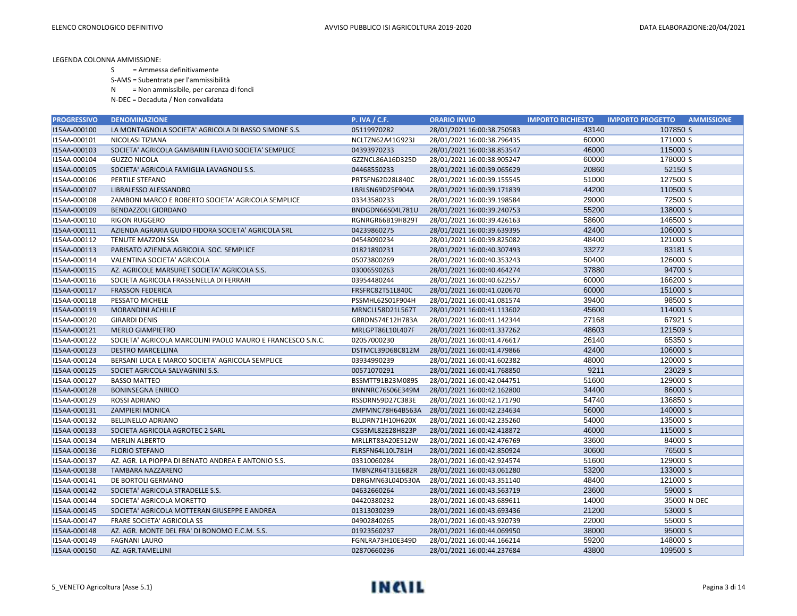- S = Ammessa definitivamente
- S-AMS = Subentrata per l'ammissibilità
- N = Non ammissibile, per carenza di fondi
- N-DEC = Decaduta / Non convalidata

| 43140<br>107850 S<br>I15AA-000100<br>LA MONTAGNOLA SOCIETA' AGRICOLA DI BASSO SIMONE S.S.<br>05119970282<br>28/01/2021 16:00:38.750583<br>60000<br>171000 S<br>I15AA-000101<br>NICOLASI TIZIANA<br>NCLTZN62A41G923J<br>28/01/2021 16:00:38.796435<br>46000<br>115000 S<br>I15AA-000103<br>SOCIETA' AGRICOLA GAMBARIN FLAVIO SOCIETA' SEMPLICE<br>04393970233<br>28/01/2021 16:00:38.853547<br>I15AA-000104<br>60000<br>178000 S<br><b>GUZZO NICOLA</b><br>GZZNCL86A16D325D<br>28/01/2021 16:00:38.905247<br>52150 S<br>20860<br>I15AA-000105<br>SOCIETA' AGRICOLA FAMIGLIA LAVAGNOLI S.S.<br>04468550233<br>28/01/2021 16:00:39.065629<br>127500 S<br>I15AA-000106<br>51000<br><b>PERTILE STEFANO</b><br>PRTSFN62D28L840C<br>28/01/2021 16:00:39.155545<br>44200<br>110500 S<br>I15AA-000107<br>LIBRALESSO ALESSANDRO<br>LBRLSN69D25F904A<br>28/01/2021 16:00:39.171839<br>72500 S<br>I15AA-000108<br>29000<br>ZAMBONI MARCO E ROBERTO SOCIETA' AGRICOLA SEMPLICE<br>03343580233<br>28/01/2021 16:00:39.198584<br>I15AA-000109<br>55200<br>138000 S<br><b>BENDAZZOLI GIORDANO</b><br>BNDGDN66S04L781U<br>28/01/2021 16:00:39.240753<br>58600<br>146500 S<br>I15AA-000110<br><b>RIGON RUGGERO</b><br>RGNRGR66B19H829T<br>28/01/2021 16:00:39.426163<br>I15AA-000111<br>42400<br>106000 S<br>AZIENDA AGRARIA GUIDO FIDORA SOCIETA' AGRICOLA SRL<br>04239860275<br>28/01/2021 16:00:39.639395<br>121000 S<br>I15AA-000112<br>04548090234<br>28/01/2021 16:00:39.825082<br>48400<br><b>TENUTE MAZZON SSA</b><br>33272<br>83181 S<br>I15AA-000113<br>PARISATO AZIENDA AGRICOLA SOC. SEMPLICE<br>01821890231<br>28/01/2021 16:00:40.307493<br>126000 S<br>I15AA-000114<br>05073800269<br>50400<br>VALENTINA SOCIETA' AGRICOLA<br>28/01/2021 16:00:40.353243<br>37880<br>94700 S<br>I15AA-000115<br>03006590263<br>AZ. AGRICOLE MARSURET SOCIETA' AGRICOLA S.S.<br>28/01/2021 16:00:40.464274<br>60000<br>166200 S<br>I15AA-000116<br>03954480244<br>28/01/2021 16:00:40.622557<br>SOCIETA AGRICOLA FRASSENELLA DI FERRARI<br>I15AA-000117<br>60000<br>151000 S<br><b>FRASSON FEDERICA</b><br>FRSFRC82T51L840C<br>28/01/2021 16:00:41.020670<br>98500 S<br>39400<br>I15AA-000118<br>PESSATO MICHELE<br>PSSMHL62S01F904H<br>28/01/2021 16:00:41.081574<br>114000 S<br>I15AA-000119<br>MRNCLL58D21L567T<br>28/01/2021 16:00:41.113602<br>45600<br><b>MORANDINI ACHILLE</b> | <b>PROGRESSIVO</b> | <b>DENOMINAZIONE</b> | <b>P. IVA / C.F.</b> | <b>ORARIO INVIO</b>        | <b>IMPORTO RICHIESTO</b> | <b>IMPORTO PROGETTO</b><br><b>AMMISSIONE</b> |
|-------------------------------------------------------------------------------------------------------------------------------------------------------------------------------------------------------------------------------------------------------------------------------------------------------------------------------------------------------------------------------------------------------------------------------------------------------------------------------------------------------------------------------------------------------------------------------------------------------------------------------------------------------------------------------------------------------------------------------------------------------------------------------------------------------------------------------------------------------------------------------------------------------------------------------------------------------------------------------------------------------------------------------------------------------------------------------------------------------------------------------------------------------------------------------------------------------------------------------------------------------------------------------------------------------------------------------------------------------------------------------------------------------------------------------------------------------------------------------------------------------------------------------------------------------------------------------------------------------------------------------------------------------------------------------------------------------------------------------------------------------------------------------------------------------------------------------------------------------------------------------------------------------------------------------------------------------------------------------------------------------------------------------------------------------------------------------------------------------------------------------------------------------------------------------------------------------------------------------------------------------------------------------------------------------------------------------------------------------------------|--------------------|----------------------|----------------------|----------------------------|--------------------------|----------------------------------------------|
|                                                                                                                                                                                                                                                                                                                                                                                                                                                                                                                                                                                                                                                                                                                                                                                                                                                                                                                                                                                                                                                                                                                                                                                                                                                                                                                                                                                                                                                                                                                                                                                                                                                                                                                                                                                                                                                                                                                                                                                                                                                                                                                                                                                                                                                                                                                                                                   |                    |                      |                      |                            |                          |                                              |
|                                                                                                                                                                                                                                                                                                                                                                                                                                                                                                                                                                                                                                                                                                                                                                                                                                                                                                                                                                                                                                                                                                                                                                                                                                                                                                                                                                                                                                                                                                                                                                                                                                                                                                                                                                                                                                                                                                                                                                                                                                                                                                                                                                                                                                                                                                                                                                   |                    |                      |                      |                            |                          |                                              |
|                                                                                                                                                                                                                                                                                                                                                                                                                                                                                                                                                                                                                                                                                                                                                                                                                                                                                                                                                                                                                                                                                                                                                                                                                                                                                                                                                                                                                                                                                                                                                                                                                                                                                                                                                                                                                                                                                                                                                                                                                                                                                                                                                                                                                                                                                                                                                                   |                    |                      |                      |                            |                          |                                              |
|                                                                                                                                                                                                                                                                                                                                                                                                                                                                                                                                                                                                                                                                                                                                                                                                                                                                                                                                                                                                                                                                                                                                                                                                                                                                                                                                                                                                                                                                                                                                                                                                                                                                                                                                                                                                                                                                                                                                                                                                                                                                                                                                                                                                                                                                                                                                                                   |                    |                      |                      |                            |                          |                                              |
|                                                                                                                                                                                                                                                                                                                                                                                                                                                                                                                                                                                                                                                                                                                                                                                                                                                                                                                                                                                                                                                                                                                                                                                                                                                                                                                                                                                                                                                                                                                                                                                                                                                                                                                                                                                                                                                                                                                                                                                                                                                                                                                                                                                                                                                                                                                                                                   |                    |                      |                      |                            |                          |                                              |
|                                                                                                                                                                                                                                                                                                                                                                                                                                                                                                                                                                                                                                                                                                                                                                                                                                                                                                                                                                                                                                                                                                                                                                                                                                                                                                                                                                                                                                                                                                                                                                                                                                                                                                                                                                                                                                                                                                                                                                                                                                                                                                                                                                                                                                                                                                                                                                   |                    |                      |                      |                            |                          |                                              |
|                                                                                                                                                                                                                                                                                                                                                                                                                                                                                                                                                                                                                                                                                                                                                                                                                                                                                                                                                                                                                                                                                                                                                                                                                                                                                                                                                                                                                                                                                                                                                                                                                                                                                                                                                                                                                                                                                                                                                                                                                                                                                                                                                                                                                                                                                                                                                                   |                    |                      |                      |                            |                          |                                              |
|                                                                                                                                                                                                                                                                                                                                                                                                                                                                                                                                                                                                                                                                                                                                                                                                                                                                                                                                                                                                                                                                                                                                                                                                                                                                                                                                                                                                                                                                                                                                                                                                                                                                                                                                                                                                                                                                                                                                                                                                                                                                                                                                                                                                                                                                                                                                                                   |                    |                      |                      |                            |                          |                                              |
|                                                                                                                                                                                                                                                                                                                                                                                                                                                                                                                                                                                                                                                                                                                                                                                                                                                                                                                                                                                                                                                                                                                                                                                                                                                                                                                                                                                                                                                                                                                                                                                                                                                                                                                                                                                                                                                                                                                                                                                                                                                                                                                                                                                                                                                                                                                                                                   |                    |                      |                      |                            |                          |                                              |
|                                                                                                                                                                                                                                                                                                                                                                                                                                                                                                                                                                                                                                                                                                                                                                                                                                                                                                                                                                                                                                                                                                                                                                                                                                                                                                                                                                                                                                                                                                                                                                                                                                                                                                                                                                                                                                                                                                                                                                                                                                                                                                                                                                                                                                                                                                                                                                   |                    |                      |                      |                            |                          |                                              |
|                                                                                                                                                                                                                                                                                                                                                                                                                                                                                                                                                                                                                                                                                                                                                                                                                                                                                                                                                                                                                                                                                                                                                                                                                                                                                                                                                                                                                                                                                                                                                                                                                                                                                                                                                                                                                                                                                                                                                                                                                                                                                                                                                                                                                                                                                                                                                                   |                    |                      |                      |                            |                          |                                              |
|                                                                                                                                                                                                                                                                                                                                                                                                                                                                                                                                                                                                                                                                                                                                                                                                                                                                                                                                                                                                                                                                                                                                                                                                                                                                                                                                                                                                                                                                                                                                                                                                                                                                                                                                                                                                                                                                                                                                                                                                                                                                                                                                                                                                                                                                                                                                                                   |                    |                      |                      |                            |                          |                                              |
|                                                                                                                                                                                                                                                                                                                                                                                                                                                                                                                                                                                                                                                                                                                                                                                                                                                                                                                                                                                                                                                                                                                                                                                                                                                                                                                                                                                                                                                                                                                                                                                                                                                                                                                                                                                                                                                                                                                                                                                                                                                                                                                                                                                                                                                                                                                                                                   |                    |                      |                      |                            |                          |                                              |
|                                                                                                                                                                                                                                                                                                                                                                                                                                                                                                                                                                                                                                                                                                                                                                                                                                                                                                                                                                                                                                                                                                                                                                                                                                                                                                                                                                                                                                                                                                                                                                                                                                                                                                                                                                                                                                                                                                                                                                                                                                                                                                                                                                                                                                                                                                                                                                   |                    |                      |                      |                            |                          |                                              |
|                                                                                                                                                                                                                                                                                                                                                                                                                                                                                                                                                                                                                                                                                                                                                                                                                                                                                                                                                                                                                                                                                                                                                                                                                                                                                                                                                                                                                                                                                                                                                                                                                                                                                                                                                                                                                                                                                                                                                                                                                                                                                                                                                                                                                                                                                                                                                                   |                    |                      |                      |                            |                          |                                              |
|                                                                                                                                                                                                                                                                                                                                                                                                                                                                                                                                                                                                                                                                                                                                                                                                                                                                                                                                                                                                                                                                                                                                                                                                                                                                                                                                                                                                                                                                                                                                                                                                                                                                                                                                                                                                                                                                                                                                                                                                                                                                                                                                                                                                                                                                                                                                                                   |                    |                      |                      |                            |                          |                                              |
|                                                                                                                                                                                                                                                                                                                                                                                                                                                                                                                                                                                                                                                                                                                                                                                                                                                                                                                                                                                                                                                                                                                                                                                                                                                                                                                                                                                                                                                                                                                                                                                                                                                                                                                                                                                                                                                                                                                                                                                                                                                                                                                                                                                                                                                                                                                                                                   |                    |                      |                      |                            |                          |                                              |
|                                                                                                                                                                                                                                                                                                                                                                                                                                                                                                                                                                                                                                                                                                                                                                                                                                                                                                                                                                                                                                                                                                                                                                                                                                                                                                                                                                                                                                                                                                                                                                                                                                                                                                                                                                                                                                                                                                                                                                                                                                                                                                                                                                                                                                                                                                                                                                   |                    |                      |                      |                            |                          |                                              |
|                                                                                                                                                                                                                                                                                                                                                                                                                                                                                                                                                                                                                                                                                                                                                                                                                                                                                                                                                                                                                                                                                                                                                                                                                                                                                                                                                                                                                                                                                                                                                                                                                                                                                                                                                                                                                                                                                                                                                                                                                                                                                                                                                                                                                                                                                                                                                                   |                    |                      |                      |                            |                          |                                              |
|                                                                                                                                                                                                                                                                                                                                                                                                                                                                                                                                                                                                                                                                                                                                                                                                                                                                                                                                                                                                                                                                                                                                                                                                                                                                                                                                                                                                                                                                                                                                                                                                                                                                                                                                                                                                                                                                                                                                                                                                                                                                                                                                                                                                                                                                                                                                                                   | I15AA-000120       | <b>GIRARDI DENIS</b> | GRRDNS74E12H783A     | 28/01/2021 16:00:41.142344 | 27168                    | 67921 S                                      |
| 48603<br>121509 S<br>I15AA-000121<br><b>MERLO GIAMPIETRO</b><br>MRLGPT86L10L407F<br>28/01/2021 16:00:41.337262                                                                                                                                                                                                                                                                                                                                                                                                                                                                                                                                                                                                                                                                                                                                                                                                                                                                                                                                                                                                                                                                                                                                                                                                                                                                                                                                                                                                                                                                                                                                                                                                                                                                                                                                                                                                                                                                                                                                                                                                                                                                                                                                                                                                                                                    |                    |                      |                      |                            |                          |                                              |
| 26140<br>65350 S<br>I15AA-000122<br>02057000230<br>SOCIETA' AGRICOLA MARCOLINI PAOLO MAURO E FRANCESCO S.N.C.<br>28/01/2021 16:00:41.476617                                                                                                                                                                                                                                                                                                                                                                                                                                                                                                                                                                                                                                                                                                                                                                                                                                                                                                                                                                                                                                                                                                                                                                                                                                                                                                                                                                                                                                                                                                                                                                                                                                                                                                                                                                                                                                                                                                                                                                                                                                                                                                                                                                                                                       |                    |                      |                      |                            |                          |                                              |
| I15AA-000123<br>42400<br>106000 S<br><b>DESTRO MARCELLINA</b><br>DSTMCL39D68C812M<br>28/01/2021 16:00:41.479866                                                                                                                                                                                                                                                                                                                                                                                                                                                                                                                                                                                                                                                                                                                                                                                                                                                                                                                                                                                                                                                                                                                                                                                                                                                                                                                                                                                                                                                                                                                                                                                                                                                                                                                                                                                                                                                                                                                                                                                                                                                                                                                                                                                                                                                   |                    |                      |                      |                            |                          |                                              |
| 120000 S<br>I15AA-000124<br>48000<br>BERSANI LUCA E MARCO SOCIETA' AGRICOLA SEMPLICE<br>03934990239<br>28/01/2021 16:00:41.602382                                                                                                                                                                                                                                                                                                                                                                                                                                                                                                                                                                                                                                                                                                                                                                                                                                                                                                                                                                                                                                                                                                                                                                                                                                                                                                                                                                                                                                                                                                                                                                                                                                                                                                                                                                                                                                                                                                                                                                                                                                                                                                                                                                                                                                 |                    |                      |                      |                            |                          |                                              |
| 23029 S<br>I15AA-000125<br>9211<br>SOCIET AGRICOLA SALVAGNINI S.S.<br>00571070291<br>28/01/2021 16:00:41.768850                                                                                                                                                                                                                                                                                                                                                                                                                                                                                                                                                                                                                                                                                                                                                                                                                                                                                                                                                                                                                                                                                                                                                                                                                                                                                                                                                                                                                                                                                                                                                                                                                                                                                                                                                                                                                                                                                                                                                                                                                                                                                                                                                                                                                                                   |                    |                      |                      |                            |                          |                                              |
| 51600<br>129000 S<br>I15AA-000127<br><b>BASSO MATTEO</b><br>BSSMTT91B23M089S<br>28/01/2021 16:00:42.044751                                                                                                                                                                                                                                                                                                                                                                                                                                                                                                                                                                                                                                                                                                                                                                                                                                                                                                                                                                                                                                                                                                                                                                                                                                                                                                                                                                                                                                                                                                                                                                                                                                                                                                                                                                                                                                                                                                                                                                                                                                                                                                                                                                                                                                                        |                    |                      |                      |                            |                          |                                              |
| 86000 S<br>I15AA-000128<br>34400<br><b>BONINSEGNA ENRICO</b><br>BNNNRC76S06E349M<br>28/01/2021 16:00:42.162800                                                                                                                                                                                                                                                                                                                                                                                                                                                                                                                                                                                                                                                                                                                                                                                                                                                                                                                                                                                                                                                                                                                                                                                                                                                                                                                                                                                                                                                                                                                                                                                                                                                                                                                                                                                                                                                                                                                                                                                                                                                                                                                                                                                                                                                    |                    |                      |                      |                            |                          |                                              |
| 54740<br>136850 S<br>I15AA-000129<br><b>ROSSI ADRIANO</b><br>RSSDRN59D27C383E<br>28/01/2021 16:00:42.171790                                                                                                                                                                                                                                                                                                                                                                                                                                                                                                                                                                                                                                                                                                                                                                                                                                                                                                                                                                                                                                                                                                                                                                                                                                                                                                                                                                                                                                                                                                                                                                                                                                                                                                                                                                                                                                                                                                                                                                                                                                                                                                                                                                                                                                                       |                    |                      |                      |                            |                          |                                              |
| 56000<br>140000 S<br>I15AA-000131<br><b>ZAMPIERI MONICA</b><br>ZMPMNC78H64B563A<br>28/01/2021 16:00:42.234634                                                                                                                                                                                                                                                                                                                                                                                                                                                                                                                                                                                                                                                                                                                                                                                                                                                                                                                                                                                                                                                                                                                                                                                                                                                                                                                                                                                                                                                                                                                                                                                                                                                                                                                                                                                                                                                                                                                                                                                                                                                                                                                                                                                                                                                     |                    |                      |                      |                            |                          |                                              |
| 54000<br>135000 S<br>I15AA-000132<br>BLLDRN71H10H620X<br><b>BELLINELLO ADRIANO</b><br>28/01/2021 16:00:42.235260                                                                                                                                                                                                                                                                                                                                                                                                                                                                                                                                                                                                                                                                                                                                                                                                                                                                                                                                                                                                                                                                                                                                                                                                                                                                                                                                                                                                                                                                                                                                                                                                                                                                                                                                                                                                                                                                                                                                                                                                                                                                                                                                                                                                                                                  |                    |                      |                      |                            |                          |                                              |
| 46000<br>115000 S<br>I15AA-000133<br>CSGSML82E28H823P<br>SOCIETA AGRICOLA AGROTEC 2 SARL<br>28/01/2021 16:00:42.418872                                                                                                                                                                                                                                                                                                                                                                                                                                                                                                                                                                                                                                                                                                                                                                                                                                                                                                                                                                                                                                                                                                                                                                                                                                                                                                                                                                                                                                                                                                                                                                                                                                                                                                                                                                                                                                                                                                                                                                                                                                                                                                                                                                                                                                            |                    |                      |                      |                            |                          |                                              |
| 33600<br>84000 S<br>I15AA-000134<br><b>MERLIN ALBERTO</b><br>MRLLRT83A20E512W<br>28/01/2021 16:00:42.476769                                                                                                                                                                                                                                                                                                                                                                                                                                                                                                                                                                                                                                                                                                                                                                                                                                                                                                                                                                                                                                                                                                                                                                                                                                                                                                                                                                                                                                                                                                                                                                                                                                                                                                                                                                                                                                                                                                                                                                                                                                                                                                                                                                                                                                                       |                    |                      |                      |                            |                          |                                              |
| 76500 S<br>I15AA-000136<br>30600<br><b>FLORIO STEFANO</b><br>FLRSFN64L10L781H<br>28/01/2021 16:00:42.850924                                                                                                                                                                                                                                                                                                                                                                                                                                                                                                                                                                                                                                                                                                                                                                                                                                                                                                                                                                                                                                                                                                                                                                                                                                                                                                                                                                                                                                                                                                                                                                                                                                                                                                                                                                                                                                                                                                                                                                                                                                                                                                                                                                                                                                                       |                    |                      |                      |                            |                          |                                              |
| 51600<br>129000 S<br>I15AA-000137<br>AZ. AGR. LA PIOPPA DI BENATO ANDREA E ANTONIO S.S.<br>03310060284<br>28/01/2021 16:00:42.924574                                                                                                                                                                                                                                                                                                                                                                                                                                                                                                                                                                                                                                                                                                                                                                                                                                                                                                                                                                                                                                                                                                                                                                                                                                                                                                                                                                                                                                                                                                                                                                                                                                                                                                                                                                                                                                                                                                                                                                                                                                                                                                                                                                                                                              |                    |                      |                      |                            |                          |                                              |
| I15AA-000138<br>53200<br>133000 S<br><b>TAMBARA NAZZARENO</b><br>TMBNZR64T31E682R<br>28/01/2021 16:00:43.061280                                                                                                                                                                                                                                                                                                                                                                                                                                                                                                                                                                                                                                                                                                                                                                                                                                                                                                                                                                                                                                                                                                                                                                                                                                                                                                                                                                                                                                                                                                                                                                                                                                                                                                                                                                                                                                                                                                                                                                                                                                                                                                                                                                                                                                                   |                    |                      |                      |                            |                          |                                              |
| I15AA-000141<br>48400<br>121000 S<br>DE BORTOLI GERMANO<br>DBRGMN63L04D530A<br>28/01/2021 16:00:43.351140                                                                                                                                                                                                                                                                                                                                                                                                                                                                                                                                                                                                                                                                                                                                                                                                                                                                                                                                                                                                                                                                                                                                                                                                                                                                                                                                                                                                                                                                                                                                                                                                                                                                                                                                                                                                                                                                                                                                                                                                                                                                                                                                                                                                                                                         |                    |                      |                      |                            |                          |                                              |
| 23600<br>59000 S<br>I15AA-000142<br>SOCIETA' AGRICOLA STRADELLE S.S.<br>04632660264<br>28/01/2021 16:00:43.563719                                                                                                                                                                                                                                                                                                                                                                                                                                                                                                                                                                                                                                                                                                                                                                                                                                                                                                                                                                                                                                                                                                                                                                                                                                                                                                                                                                                                                                                                                                                                                                                                                                                                                                                                                                                                                                                                                                                                                                                                                                                                                                                                                                                                                                                 |                    |                      |                      |                            |                          |                                              |
| 35000 N-DEC<br>I15AA-000144<br>04420380232<br>14000<br>SOCIETA' AGRICOLA MORETTO<br>28/01/2021 16:00:43.689611                                                                                                                                                                                                                                                                                                                                                                                                                                                                                                                                                                                                                                                                                                                                                                                                                                                                                                                                                                                                                                                                                                                                                                                                                                                                                                                                                                                                                                                                                                                                                                                                                                                                                                                                                                                                                                                                                                                                                                                                                                                                                                                                                                                                                                                    |                    |                      |                      |                            |                          |                                              |
| I15AA-000145<br>01313030239<br>21200<br>53000 S<br>SOCIETA' AGRICOLA MOTTERAN GIUSEPPE E ANDREA<br>28/01/2021 16:00:43.693436                                                                                                                                                                                                                                                                                                                                                                                                                                                                                                                                                                                                                                                                                                                                                                                                                                                                                                                                                                                                                                                                                                                                                                                                                                                                                                                                                                                                                                                                                                                                                                                                                                                                                                                                                                                                                                                                                                                                                                                                                                                                                                                                                                                                                                     |                    |                      |                      |                            |                          |                                              |
| 55000 S<br>I15AA-000147<br>04902840265<br>22000<br><b>FRARE SOCIETA' AGRICOLA SS</b><br>28/01/2021 16:00:43.920739                                                                                                                                                                                                                                                                                                                                                                                                                                                                                                                                                                                                                                                                                                                                                                                                                                                                                                                                                                                                                                                                                                                                                                                                                                                                                                                                                                                                                                                                                                                                                                                                                                                                                                                                                                                                                                                                                                                                                                                                                                                                                                                                                                                                                                                |                    |                      |                      |                            |                          |                                              |
| 95000 S<br>I15AA-000148<br>38000<br>AZ. AGR. MONTE DEL FRA' DI BONOMO E.C.M. S.S.<br>01923560237<br>28/01/2021 16:00:44.069950                                                                                                                                                                                                                                                                                                                                                                                                                                                                                                                                                                                                                                                                                                                                                                                                                                                                                                                                                                                                                                                                                                                                                                                                                                                                                                                                                                                                                                                                                                                                                                                                                                                                                                                                                                                                                                                                                                                                                                                                                                                                                                                                                                                                                                    |                    |                      |                      |                            |                          |                                              |
| I15AA-000149<br>59200<br>148000 S<br><b>FAGNANI LAURO</b><br>FGNLRA73H10E349D<br>28/01/2021 16:00:44.166214                                                                                                                                                                                                                                                                                                                                                                                                                                                                                                                                                                                                                                                                                                                                                                                                                                                                                                                                                                                                                                                                                                                                                                                                                                                                                                                                                                                                                                                                                                                                                                                                                                                                                                                                                                                                                                                                                                                                                                                                                                                                                                                                                                                                                                                       |                    |                      |                      |                            |                          |                                              |
| 43800<br>109500 S<br>I15AA-000150<br>02870660236<br>AZ. AGR.TAMELLINI<br>28/01/2021 16:00:44.237684                                                                                                                                                                                                                                                                                                                                                                                                                                                                                                                                                                                                                                                                                                                                                                                                                                                                                                                                                                                                                                                                                                                                                                                                                                                                                                                                                                                                                                                                                                                                                                                                                                                                                                                                                                                                                                                                                                                                                                                                                                                                                                                                                                                                                                                               |                    |                      |                      |                            |                          |                                              |

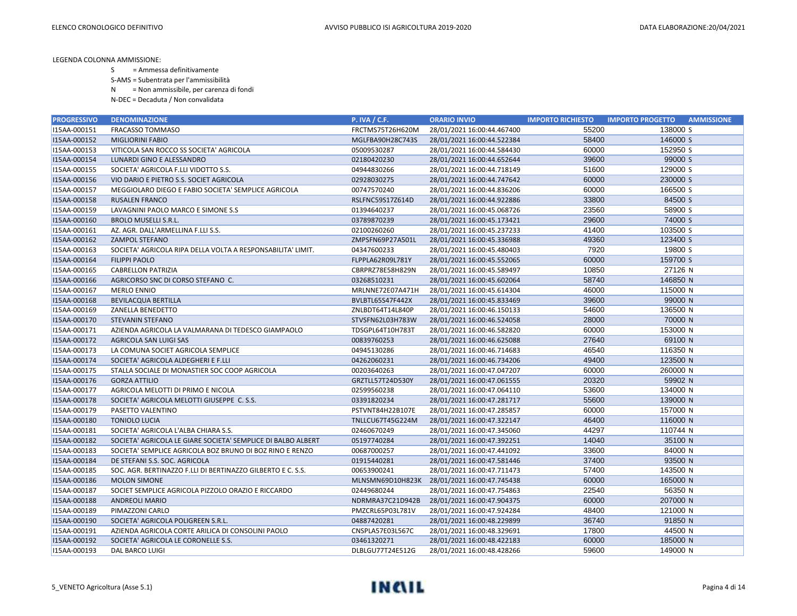- S = Ammessa definitivamente
- S-AMS = Subentrata per l'ammissibilità
- N = Non ammissibile, per carenza di fondi
- N-DEC = Decaduta / Non convalidata

| <b>PROGRESSIVO</b> | <b>DENOMINAZIONE</b>                                         | <b>P. IVA / C.F.</b> | <b>ORARIO INVIO</b>        | <b>IMPORTO RICHIESTO</b> | <b>IMPORTO PROGETTO</b><br><b>AMMISSIONE</b> |
|--------------------|--------------------------------------------------------------|----------------------|----------------------------|--------------------------|----------------------------------------------|
| I15AA-000151       | FRACASSO TOMMASO                                             | FRCTMS75T26H620M     | 28/01/2021 16:00:44.467400 | 55200                    | 138000 S                                     |
| I15AA-000152       | <b>MIGLIORINI FABIO</b>                                      | MGLFBA90H28C743S     | 28/01/2021 16:00:44.522384 | 58400                    | 146000 S                                     |
| I15AA-000153       | VITICOLA SAN ROCCO SS SOCIETA' AGRICOLA                      | 05009530287          | 28/01/2021 16:00:44.584430 | 60000                    | 152950 S                                     |
| I15AA-000154       | LUNARDI GINO E ALESSANDRO                                    | 02180420230          | 28/01/2021 16:00:44.652644 | 39600                    | 99000 S                                      |
| I15AA-000155       | SOCIETA' AGRICOLA F.LLI VIDOTTO S.S.                         | 04944830266          | 28/01/2021 16:00:44.718149 | 51600                    | 129000 S                                     |
| I15AA-000156       | VIO DARIO E PIETRO S.S. SOCIET AGRICOLA                      | 02928030275          | 28/01/2021 16:00:44.747642 | 60000                    | 230000 S                                     |
| I15AA-000157       | MEGGIOLARO DIEGO E FABIO SOCIETA' SEMPLICE AGRICOLA          | 00747570240          | 28/01/2021 16:00:44.836206 | 60000                    | 166500 S                                     |
| I15AA-000158       | <b>RUSALEN FRANCO</b>                                        | RSLFNC59S17Z614D     | 28/01/2021 16:00:44.922886 | 33800                    | 84500 S                                      |
| I15AA-000159       | LAVAGNINI PAOLO MARCO E SIMONE S.S                           | 01394640237          | 28/01/2021 16:00:45.068726 | 23560                    | 58900 S                                      |
| I15AA-000160       | <b>BROLO MUSELLI S.R.L.</b>                                  | 03789870239          | 28/01/2021 16:00:45.173421 | 29600                    | 74000 S                                      |
| I15AA-000161       | AZ. AGR. DALL'ARMELLINA F.LLI S.S.                           | 02100260260          | 28/01/2021 16:00:45.237233 | 41400                    | 103500 S                                     |
| I15AA-000162       | <b>ZAMPOL STEFANO</b>                                        | ZMPSFN69P27A501L     | 28/01/2021 16:00:45.336988 | 49360                    | 123400 S                                     |
| I15AA-000163       | SOCIETA' AGRICOLA RIPA DELLA VOLTA A RESPONSABILITA' LIMIT.  | 04347600233          | 28/01/2021 16:00:45.480403 | 7920                     | 19800 S                                      |
| I15AA-000164       | <b>FILIPPI PAOLO</b>                                         | FLPPLA62R09L781Y     | 28/01/2021 16:00:45.552065 | 60000                    | 159700 S                                     |
| I15AA-000165       | <b>CABRELLON PATRIZIA</b>                                    | CBRPRZ78E58H829N     | 28/01/2021 16:00:45.589497 | 10850                    | 27126 N                                      |
| I15AA-000166       | AGRICORSO SNC DI CORSO STEFANO C.                            | 03268510231          | 28/01/2021 16:00:45.602064 | 58740                    | 146850 N                                     |
| I15AA-000167       | <b>MERLO ENNIO</b>                                           | MRLNNE72E07A471H     | 28/01/2021 16:00:45.614304 | 46000                    | 115000 N                                     |
| I15AA-000168       | <b>BEVILACQUA BERTILLA</b>                                   | BVLBTL65S47F442X     | 28/01/2021 16:00:45.833469 | 39600                    | 99000 N                                      |
| I15AA-000169       | ZANELLA BENEDETTO                                            | ZNLBDT64T14L840P     | 28/01/2021 16:00:46.150133 | 54600                    | 136500 N                                     |
| I15AA-000170       | <b>STEVANIN STEFANO</b>                                      | STVSFN62L03H783W     | 28/01/2021 16:00:46.524058 | 28000                    | 70000 N                                      |
| I15AA-000171       | AZIENDA AGRICOLA LA VALMARANA DI TEDESCO GIAMPAOLO           | TDSGPL64T10H783T     | 28/01/2021 16:00:46.582820 | 60000                    | 153000 N                                     |
| I15AA-000172       | AGRICOLA SAN LUIGI SAS                                       | 00839760253          | 28/01/2021 16:00:46.625088 | 27640                    | 69100 N                                      |
| I15AA-000173       | LA COMUNA SOCIET AGRICOLA SEMPLICE                           | 04945130286          | 28/01/2021 16:00:46.714683 | 46540                    | 116350 N                                     |
| I15AA-000174       | SOCIETA' AGRICOLA ALDEGHERI E F.LLI                          | 04262060231          | 28/01/2021 16:00:46.734206 | 49400                    | 123500 N                                     |
| I15AA-000175       | STALLA SOCIALE DI MONASTIER SOC COOP AGRICOLA                | 00203640263          | 28/01/2021 16:00:47.047207 | 60000                    | 260000 N                                     |
| I15AA-000176       | <b>GORZA ATTILIO</b>                                         | GRZTLL57T24D530Y     | 28/01/2021 16:00:47.061555 | 20320                    | 59902 N                                      |
| I15AA-000177       | AGRICOLA MELOTTI DI PRIMO E NICOLA                           | 02599560238          | 28/01/2021 16:00:47.064110 | 53600                    | 134000 N                                     |
| I15AA-000178       | SOCIETA' AGRICOLA MELOTTI GIUSEPPE C. S.S.                   | 03391820234          | 28/01/2021 16:00:47.281717 | 55600                    | 139000 N                                     |
| I15AA-000179       | PASETTO VALENTINO                                            | PSTVNT84H22B107E     | 28/01/2021 16:00:47.285857 | 60000                    | 157000 N                                     |
| I15AA-000180       | <b>TONIOLO LUCIA</b>                                         | TNLLCU67T45G224M     | 28/01/2021 16:00:47.322147 | 46400                    | 116000 N                                     |
| I15AA-000181       | SOCIETA' AGRICOLA L'ALBA CHIARA S.S.                         | 02460670249          | 28/01/2021 16:00:47.345060 | 44297                    | 110744 N                                     |
| I15AA-000182       | SOCIETA' AGRICOLA LE GIARE SOCIETA' SEMPLICE DI BALBO ALBERT | 05197740284          | 28/01/2021 16:00:47.392251 | 14040                    | 35100 N                                      |
| I15AA-000183       | SOCIETA' SEMPLICE AGRICOLA BOZ BRUNO DI BOZ RINO E RENZO     | 00687000257          | 28/01/2021 16:00:47.441092 | 33600                    | 84000 N                                      |
| I15AA-000184       | DE STEFANI S.S. SOC. AGRICOLA                                | 01915440281          | 28/01/2021 16:00:47.581446 | 37400                    | 93500 N                                      |
| I15AA-000185       | SOC. AGR. BERTINAZZO F.LLI DI BERTINAZZO GILBERTO E C. S.S.  | 00653900241          | 28/01/2021 16:00:47.711473 | 57400                    | 143500 N                                     |
| I15AA-000186       | <b>MOLON SIMONE</b>                                          | MLNSMN69D10H823K     | 28/01/2021 16:00:47.745438 | 60000                    | 165000 N                                     |
| I15AA-000187       | SOCIET SEMPLICE AGRICOLA PIZZOLO ORAZIO E RICCARDO           | 02449680244          | 28/01/2021 16:00:47.754863 | 22540                    | 56350 N                                      |
| I15AA-000188       | <b>ANDREOLI MARIO</b>                                        | NDRMRA37C21D942B     | 28/01/2021 16:00:47.904375 | 60000                    | 207000 N                                     |
| I15AA-000189       | PIMAZZONI CARLO                                              | PMZCRL65P03L781V     | 28/01/2021 16:00:47.924284 | 48400                    | 121000 N                                     |
| I15AA-000190       | SOCIETA' AGRICOLA POLIGREEN S.R.L.                           | 04887420281          | 28/01/2021 16:00:48.229899 | 36740                    | 91850 N                                      |
| I15AA-000191       | AZIENDA AGRICOLA CORTE ARILICA DI CONSOLINI PAOLO            | CNSPLA57E03L567C     | 28/01/2021 16:00:48.329691 | 17800                    | 44500 N                                      |
| I15AA-000192       | SOCIETA' AGRICOLA LE CORONELLE S.S.                          | 03461320271          | 28/01/2021 16:00:48.422183 | 60000                    | 185000 N                                     |
| I15AA-000193       | DAL BARCO LUIGI                                              | DLBLGU77T24E512G     | 28/01/2021 16:00:48.428266 | 59600                    | 149000 N                                     |

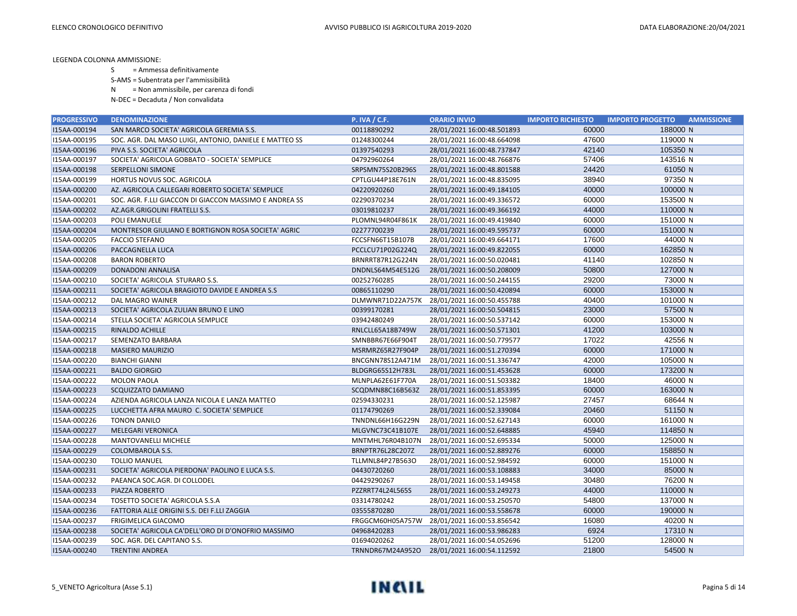S = Ammessa definitivamente

S-AMS = Subentrata per l'ammissibilità

N = Non ammissibile, per carenza di fondi

| <b>PROGRESSIVO</b> | <b>DENOMINAZIONE</b>                                   | <b>P. IVA / C.F.</b> | <b>ORARIO INVIO</b>        | <b>IMPORTO RICHIESTO</b> | <b>AMMISSIONE</b><br><b>IMPORTO PROGETTO</b> |
|--------------------|--------------------------------------------------------|----------------------|----------------------------|--------------------------|----------------------------------------------|
| I15AA-000194       | SAN MARCO SOCIETA' AGRICOLA GEREMIA S.S.               | 00118890292          | 28/01/2021 16:00:48.501893 | 60000                    | 188000 N                                     |
| I15AA-000195       | SOC. AGR. DAL MASO LUIGI, ANTONIO, DANIELE E MATTEO SS | 01248300244          | 28/01/2021 16:00:48.664098 | 47600                    | 119000 N                                     |
| I15AA-000196       | PIVA S.S. SOCIETA' AGRICOLA                            | 01397540293          | 28/01/2021 16:00:48.737847 | 42140                    | 105350 N                                     |
| I15AA-000197       | SOCIETA' AGRICOLA GOBBATO - SOCIETA' SEMPLICE          | 04792960264          | 28/01/2021 16:00:48.766876 | 57406                    | 143516 N                                     |
| I15AA-000198       | <b>SERPELLONI SIMONE</b>                               | SRPSMN75S20B296S     | 28/01/2021 16:00:48.801588 | 24420                    | 61050 N                                      |
| I15AA-000199       | HORTUS NOVUS SOC. AGRICOLA                             | CPTLGU44P18E761N     | 28/01/2021 16:00:48.835095 | 38940                    | 97350 N                                      |
| I15AA-000200       | AZ. AGRICOLA CALLEGARI ROBERTO SOCIETA' SEMPLICE       | 04220920260          | 28/01/2021 16:00:49.184105 | 40000                    | 100000 N                                     |
| I15AA-000201       | SOC. AGR. F.LLI GIACCON DI GIACCON MASSIMO E ANDREA SS | 02290370234          | 28/01/2021 16:00:49.336572 | 60000                    | 153500 N                                     |
| I15AA-000202       | AZ.AGR.GRIGOLINI FRATELLI S.S.                         | 03019810237          | 28/01/2021 16:00:49.366192 | 44000                    | 110000 N                                     |
| I15AA-000203       | POLI EMANUELE                                          | PLOMNL94R04F861K     | 28/01/2021 16:00:49.419840 | 60000                    | 151000 N                                     |
| I15AA-000204       | MONTRESOR GIULIANO E BORTIGNON ROSA SOCIETA' AGRIC     | 02277700239          | 28/01/2021 16:00:49.595737 | 60000                    | 151000 N                                     |
| I15AA-000205       | <b>FACCIO STEFANO</b>                                  | FCCSFN66T15B107B     | 28/01/2021 16:00:49.664171 | 17600                    | 44000 N                                      |
| I15AA-000206       | PACCAGNELLA LUCA                                       | PCCLCU71P02G224Q     | 28/01/2021 16:00:49.822055 | 60000                    | 162850 N                                     |
| I15AA-000208       | <b>BARON ROBERTO</b>                                   | BRNRRT87R12G224N     | 28/01/2021 16:00:50.020481 | 41140                    | 102850 N                                     |
| I15AA-000209       | <b>DONADONI ANNALISA</b>                               | DNDNLS64M54E512G     | 28/01/2021 16:00:50.208009 | 50800                    | 127000 N                                     |
| I15AA-000210       | SOCIETA' AGRICOLA STURARO S.S.                         | 00252760285          | 28/01/2021 16:00:50.244155 | 29200                    | 73000 N                                      |
| I15AA-000211       | SOCIETA' AGRICOLA BRAGIOTO DAVIDE E ANDREA S.S         | 00865110290          | 28/01/2021 16:00:50.420894 | 60000                    | 153000 N                                     |
| I15AA-000212       | DAL MAGRO WAINER                                       | DLMWNR71D22A757K     | 28/01/2021 16:00:50.455788 | 40400                    | 101000 N                                     |
| I15AA-000213       | SOCIETA' AGRICOLA ZULIAN BRUNO E LINO                  | 00399170281          | 28/01/2021 16:00:50.504815 | 23000                    | 57500 N                                      |
| I15AA-000214       | STELLA SOCIETA' AGRICOLA SEMPLICE                      | 03942480249          | 28/01/2021 16:00:50.537142 | 60000                    | 153000 N                                     |
| I15AA-000215       | RINALDO ACHILLE                                        | RNLCLL65A18B749W     | 28/01/2021 16:00:50.571301 | 41200                    | 103000 N                                     |
| I15AA-000217       | SEMENZATO BARBARA                                      | SMNBBR67E66F904T     | 28/01/2021 16:00:50.779577 | 17022                    | 42556 N                                      |
| I15AA-000218       | <b>MASIERO MAURIZIO</b>                                | MSRMRZ65R27F904P     | 28/01/2021 16:00:51.270394 | 60000                    | 171000 N                                     |
| I15AA-000220       | <b>BIANCHI GIANNI</b>                                  | BNCGNN78S12A471M     | 28/01/2021 16:00:51.336747 | 42000                    | 105000 N                                     |
| I15AA-000221       | <b>BALDO GIORGIO</b>                                   | BLDGRG65S12H783L     | 28/01/2021 16:00:51.453628 | 60000                    | 173200 N                                     |
| I15AA-000222       | <b>MOLON PAOLA</b>                                     | MLNPLA62E61F770A     | 28/01/2021 16:00:51.503382 | 18400                    | 46000 N                                      |
| I15AA-000223       | SCQUIZZATO DAMIANO                                     | SCQDMN88C16B563Z     | 28/01/2021 16:00:51.853395 | 60000                    | 163000 N                                     |
| I15AA-000224       | AZIENDA AGRICOLA LANZA NICOLA E LANZA MATTEO           | 02594330231          | 28/01/2021 16:00:52.125987 | 27457                    | 68644 N                                      |
| I15AA-000225       | LUCCHETTA AFRA MAURO C. SOCIETA' SEMPLICE              | 01174790269          | 28/01/2021 16:00:52.339084 | 20460                    | 51150 N                                      |
| I15AA-000226       | <b>TONON DANILO</b>                                    | TNNDNL66H16G229N     | 28/01/2021 16:00:52.627143 | 60000                    | 161000 N                                     |
| I15AA-000227       | <b>MELEGARI VERONICA</b>                               | MLGVNC73C41B107E     | 28/01/2021 16:00:52.648885 | 45940                    | 114850 N                                     |
| I15AA-000228       | MANTOVANELLI MICHELE                                   | MNTMHL76R04B107N     | 28/01/2021 16:00:52.695334 | 50000                    | 125000 N                                     |
| I15AA-000229       | COLOMBAROLA S.S.                                       | BRNPTR76L28C207Z     | 28/01/2021 16:00:52.889276 | 60000                    | 158850 N                                     |
| I15AA-000230       | <b>TOLLIO MANUEL</b>                                   | TLLMNL84P27B563O     | 28/01/2021 16:00:52.984592 | 60000                    | 151000 N                                     |
| I15AA-000231       | SOCIETA' AGRICOLA PIERDONA' PAOLINO E LUCA S.S.        | 04430720260          | 28/01/2021 16:00:53.108883 | 34000                    | 85000 N                                      |
| I15AA-000232       | PAEANCA SOC.AGR. DI COLLODEL                           | 04429290267          | 28/01/2021 16:00:53.149458 | 30480                    | 76200 N                                      |
| I15AA-000233       | PIAZZA ROBERTO                                         | PZZRRT74L24L565S     | 28/01/2021 16:00:53.249273 | 44000                    | 110000 N                                     |
| I15AA-000234       | TOSETTO SOCIETA' AGRICOLA S.S.A                        | 03314780242          | 28/01/2021 16:00:53.250570 | 54800                    | 137000 N                                     |
| I15AA-000236       | FATTORIA ALLE ORIGINI S.S. DEI F.LLI ZAGGIA            | 03555870280          | 28/01/2021 16:00:53.558678 | 60000                    | 190000 N                                     |
| I15AA-000237       | FRIGIMELICA GIACOMO                                    | FRGGCM60H05A757W     | 28/01/2021 16:00:53.856542 | 16080                    | 40200 N                                      |
| I15AA-000238       | SOCIETA' AGRICOLA CA'DELL'ORO DI D'ONOFRIO MASSIMO     | 04968420283          | 28/01/2021 16:00:53.986283 | 6924                     | 17310 N                                      |
| I15AA-000239       | SOC. AGR. DEL CAPITANO S.S.                            | 01694020262          | 28/01/2021 16:00:54.052696 | 51200                    | 128000 N                                     |
| I15AA-000240       | <b>TRENTINI ANDREA</b>                                 | TRNNDR67M24A952O     | 28/01/2021 16:00:54.112592 | 21800                    | 54500 N                                      |

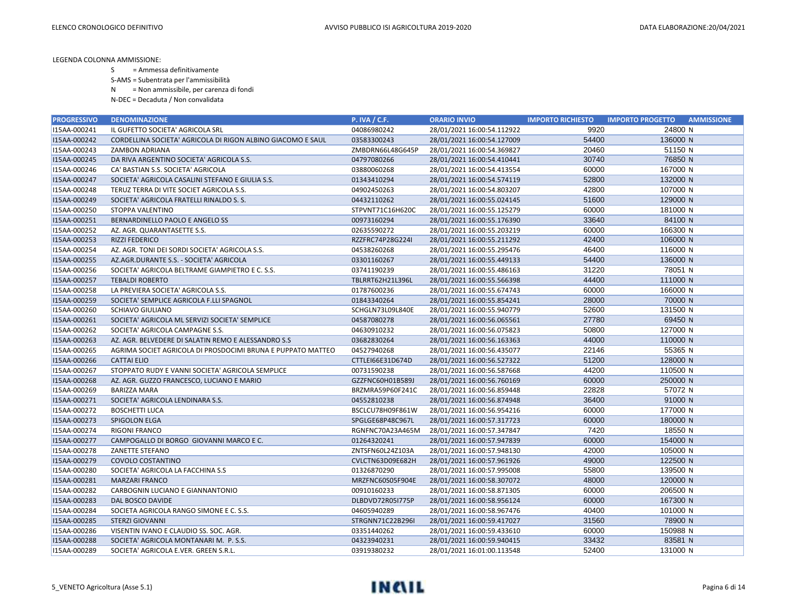S = Ammessa definitivamente

S-AMS = Subentrata per l'ammissibilità

N = Non ammissibile, per carenza di fondi

| <b>PROGRESSIVO</b> | <b>DENOMINAZIONE</b>                                        | <b>P. IVA / C.F.</b> | <b>ORARIO INVIO</b>        | <b>IMPORTO RICHIESTO</b> | <b>AMMISSIONE</b><br><b>IMPORTO PROGETTO</b> |
|--------------------|-------------------------------------------------------------|----------------------|----------------------------|--------------------------|----------------------------------------------|
| I15AA-000241       | IL GUFETTO SOCIETA' AGRICOLA SRL                            | 04086980242          | 28/01/2021 16:00:54.112922 | 9920                     | 24800 N                                      |
| I15AA-000242       | CORDELLINA SOCIETA' AGRICOLA DI RIGON ALBINO GIACOMO E SAUL | 03583300243          | 28/01/2021 16:00:54.127009 | 54400                    | 136000 N                                     |
| I15AA-000243       | ZAMBON ADRIANA                                              | ZMBDRN66L48G645P     | 28/01/2021 16:00:54.369827 | 20460                    | 51150 N                                      |
| I15AA-000245       | DA RIVA ARGENTINO SOCIETA' AGRICOLA S.S.                    | 04797080266          | 28/01/2021 16:00:54.410441 | 30740                    | 76850 N                                      |
| I15AA-000246       | CA' BASTIAN S.S. SOCIETA' AGRICOLA                          | 03880060268          | 28/01/2021 16:00:54.413554 | 60000                    | 167000 N                                     |
| I15AA-000247       | SOCIETA' AGRICOLA CASALINI STEFANO E GIULIA S.S.            | 01343410294          | 28/01/2021 16:00:54.574119 | 52800                    | 132000 N                                     |
| I15AA-000248       | TERUZ TERRA DI VITE SOCIET AGRICOLA S.S.                    | 04902450263          | 28/01/2021 16:00:54.803207 | 42800                    | 107000 N                                     |
| I15AA-000249       | SOCIETA' AGRICOLA FRATELLI RINALDO S. S.                    | 04432110262          | 28/01/2021 16:00:55.024145 | 51600                    | 129000 N                                     |
| I15AA-000250       | STOPPA VALENTINO                                            | STPVNT71C16H620C     | 28/01/2021 16:00:55.125279 | 60000                    | 181000 N                                     |
| I15AA-000251       | BERNARDINELLO PAOLO E ANGELO SS                             | 00973160294          | 28/01/2021 16:00:55.176390 | 33640                    | 84100 N                                      |
| I15AA-000252       | AZ. AGR. QUARANTASETTE S.S.                                 | 02635590272          | 28/01/2021 16:00:55.203219 | 60000                    | 166300 N                                     |
| I15AA-000253       | <b>RIZZI FEDERICO</b>                                       | RZZFRC74P28G224I     | 28/01/2021 16:00:55.211292 | 42400                    | 106000 N                                     |
| I15AA-000254       | AZ. AGR. TONI DEI SORDI SOCIETA' AGRICOLA S.S.              | 04538260268          | 28/01/2021 16:00:55.295476 | 46400                    | 116000 N                                     |
| I15AA-000255       | AZ.AGR.DURANTE S.S. - SOCIETA' AGRICOLA                     | 03301160267          | 28/01/2021 16:00:55.449133 | 54400                    | 136000 N                                     |
| I15AA-000256       | SOCIETA' AGRICOLA BELTRAME GIAMPIETRO E C. S.S.             | 03741190239          | 28/01/2021 16:00:55.486163 | 31220                    | 78051 N                                      |
| I15AA-000257       | <b>TEBALDI ROBERTO</b>                                      | TBLRRT62H21L396L     | 28/01/2021 16:00:55.566398 | 44400                    | 111000 N                                     |
| I15AA-000258       | LA PREVIERA SOCIETA' AGRICOLA S.S.                          | 01787600236          | 28/01/2021 16:00:55.674743 | 60000                    | 166000 N                                     |
| I15AA-000259       | SOCIETA' SEMPLICE AGRICOLA F.LLI SPAGNOL                    | 01843340264          | 28/01/2021 16:00:55.854241 | 28000                    | 70000 N                                      |
| I15AA-000260       | <b>SCHIAVO GIULIANO</b>                                     | SCHGLN73L09L840E     | 28/01/2021 16:00:55.940779 | 52600                    | 131500 N                                     |
| I15AA-000261       | SOCIETA' AGRICOLA ML SERVIZI SOCIETA' SEMPLICE              | 04587080278          | 28/01/2021 16:00:56.065561 | 27780                    | 69450 N                                      |
| I15AA-000262       | SOCIETA' AGRICOLA CAMPAGNE S.S.                             | 04630910232          | 28/01/2021 16:00:56.075823 | 50800                    | 127000 N                                     |
| I15AA-000263       | AZ. AGR. BELVEDERE DI SALATIN REMO E ALESSANDRO S.S         | 03682830264          | 28/01/2021 16:00:56.163363 | 44000                    | 110000 N                                     |
| I15AA-000265       | AGRIMA SOCIET AGRICOLA DI PROSDOCIMI BRUNA E PUPPATO MATTEO | 04527940268          | 28/01/2021 16:00:56.435077 | 22146                    | 55365 N                                      |
| I15AA-000266       | <b>CATTAI ELIO</b>                                          | CTTLEI66E31D674D     | 28/01/2021 16:00:56.527322 | 51200                    | 128000 N                                     |
| I15AA-000267       | STOPPATO RUDY E VANNI SOCIETA' AGRICOLA SEMPLICE            | 00731590238          | 28/01/2021 16:00:56.587668 | 44200                    | 110500 N                                     |
| I15AA-000268       | AZ. AGR. GUZZO FRANCESCO, LUCIANO E MARIO                   | GZZFNC60H01B589J     | 28/01/2021 16:00:56.760169 | 60000                    | 250000 N                                     |
| I15AA-000269       | <b>BARIZZA MARA</b>                                         | BRZMRA59P60F241C     | 28/01/2021 16:00:56.859448 | 22828                    | 57072 N                                      |
| I15AA-000271       | SOCIETA' AGRICOLA LENDINARA S.S.                            | 04552810238          | 28/01/2021 16:00:56.874948 | 36400                    | 91000 N                                      |
| I15AA-000272       | <b>BOSCHETTI LUCA</b>                                       | BSCLCU78H09F861W     | 28/01/2021 16:00:56.954216 | 60000                    | 177000 N                                     |
| I15AA-000273       | SPIGOLON ELGA                                               | SPGLGE68P48C967L     | 28/01/2021 16:00:57.317723 | 60000                    | 180000 N                                     |
| I15AA-000274       | <b>RIGONI FRANCO</b>                                        | RGNFNC70A23A465M     | 28/01/2021 16:00:57.347847 | 7420                     | 18550 N                                      |
| I15AA-000277       | CAMPOGALLO DI BORGO GIOVANNI MARCO E C.                     | 01264320241          | 28/01/2021 16:00:57.947839 | 60000                    | 154000 N                                     |
| I15AA-000278       | ZANETTE STEFANO                                             | ZNTSFN60L24Z103A     | 28/01/2021 16:00:57.948130 | 42000                    | 105000 N                                     |
| I15AA-000279       | COVOLO COSTANTINO                                           | CVLCTN63D09E682H     | 28/01/2021 16:00:57.961926 | 49000                    | 122500 N                                     |
| I15AA-000280       | SOCIETA' AGRICOLA LA FACCHINA S.S                           | 01326870290          | 28/01/2021 16:00:57.995008 | 55800                    | 139500 N                                     |
| I15AA-000281       | <b>MARZARI FRANCO</b>                                       | MRZFNC60S05F904E     | 28/01/2021 16:00:58.307072 | 48000                    | 120000 N                                     |
| I15AA-000282       | CARBOGNIN LUCIANO E GIANNANTONIO                            | 00910160233          | 28/01/2021 16:00:58.871305 | 60000                    | 206500 N                                     |
| I15AA-000283       | DAL BOSCO DAVIDE                                            | DLBDVD72R05I775P     | 28/01/2021 16:00:58.956124 | 60000                    | 167300 N                                     |
| I15AA-000284       | SOCIETA AGRICOLA RANGO SIMONE E C. S.S.                     | 04605940289          | 28/01/2021 16:00:58.967476 | 40400                    | 101000 N                                     |
| I15AA-000285       | <b>STERZI GIOVANNI</b>                                      | STRGNN71C22B296I     | 28/01/2021 16:00:59.417027 | 31560                    | 78900 N                                      |
| I15AA-000286       | VISENTIN IVANO E CLAUDIO SS. SOC. AGR.                      | 03351440262          | 28/01/2021 16:00:59.433610 | 60000                    | 150988 N                                     |
| I15AA-000288       | SOCIETA' AGRICOLA MONTANARI M. P. S.S.                      | 04323940231          | 28/01/2021 16:00:59.940415 | 33432                    | 83581 N                                      |
| I15AA-000289       | SOCIETA' AGRICOLA E.VER. GREEN S.R.L.                       | 03919380232          | 28/01/2021 16:01:00.113548 | 52400                    | 131000 N                                     |

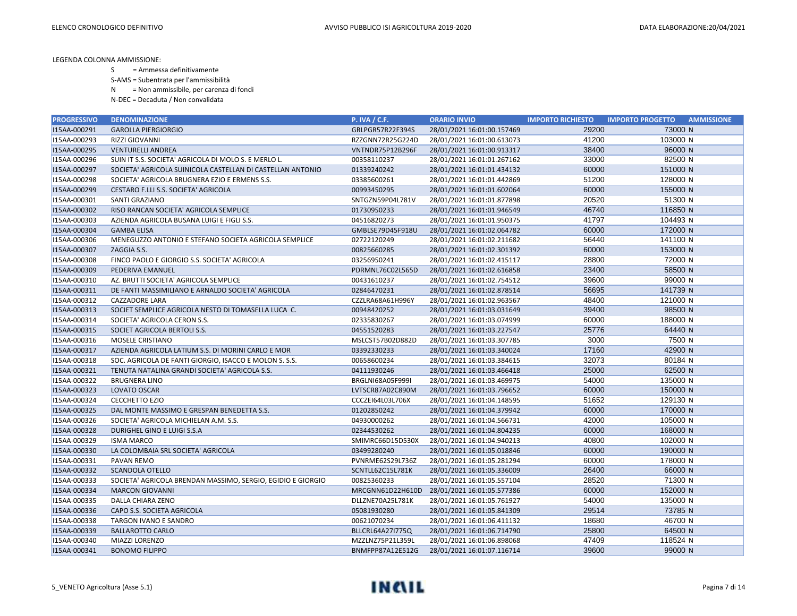- S = Ammessa definitivamente
- S-AMS = Subentrata per l'ammissibilità
- N = Non ammissibile, per carenza di fondi
- N-DEC = Decaduta / Non convalidata

| <b>PROGRESSIVO</b> | <b>DENOMINAZIONE</b>                                        | <b>P. IVA / C.F.</b>    | <b>ORARIO INVIO</b>        | <b>IMPORTO RICHIESTO</b> | <b>IMPORTO PROGETTO</b><br><b>AMMISSIONE</b> |
|--------------------|-------------------------------------------------------------|-------------------------|----------------------------|--------------------------|----------------------------------------------|
| I15AA-000291       | <b>GAROLLA PIERGIORGIO</b>                                  | GRLPGR57R22F394S        | 28/01/2021 16:01:00.157469 | 29200                    | 73000 N                                      |
| I15AA-000293       | RIZZI GIOVANNI                                              | RZZGNN72R25G224D        | 28/01/2021 16:01:00.613073 | 41200                    | 103000 N                                     |
| I15AA-000295       | <b>VENTURELLI ANDREA</b>                                    | VNTNDR75P12B296F        | 28/01/2021 16:01:00.913317 | 38400                    | 96000 N                                      |
| I15AA-000296       | SUIN IT S.S. SOCIETA' AGRICOLA DI MOLO S. E MERLO L.        | 00358110237             | 28/01/2021 16:01:01.267162 | 33000                    | 82500 N                                      |
| I15AA-000297       | SOCIETA' AGRICOLA SUINICOLA CASTELLAN DI CASTELLAN ANTONIO  | 01339240242             | 28/01/2021 16:01:01.434132 | 60000                    | 151000 N                                     |
| I15AA-000298       | SOCIETA' AGRICOLA BRUGNERA EZIO E ERMENS S.S.               | 03385600261             | 28/01/2021 16:01:01.442869 | 51200                    | 128000 N                                     |
| I15AA-000299       | CESTARO F.LLI S.S. SOCIETA' AGRICOLA                        | 00993450295             | 28/01/2021 16:01:01.602064 | 60000                    | 155000 N                                     |
| I15AA-000301       | SANTI GRAZIANO                                              | SNTGZN59P04L781V        | 28/01/2021 16:01:01.877898 | 20520                    | 51300 N                                      |
| I15AA-000302       | RISO RANCAN SOCIETA' AGRICOLA SEMPLICE                      | 01730950233             | 28/01/2021 16:01:01.946549 | 46740                    | 116850 N                                     |
| I15AA-000303       | AZIENDA AGRICOLA BUSANA LUIGI E FIGLI S.S.                  | 04516820273             | 28/01/2021 16:01:01.950375 | 41797                    | 104493 N                                     |
| I15AA-000304       | <b>GAMBA ELISA</b>                                          | GMBLSE79D45F918U        | 28/01/2021 16:01:02.064782 | 60000                    | 172000 N                                     |
| I15AA-000306       | MENEGUZZO ANTONIO E STEFANO SOCIETA AGRICOLA SEMPLICE       | 02722120249             | 28/01/2021 16:01:02.211682 | 56440                    | 141100 N                                     |
| I15AA-000307       | ZAGGIA S.S.                                                 | 00825660285             | 28/01/2021 16:01:02.301392 | 60000                    | 153000 N                                     |
| I15AA-000308       | FINCO PAOLO E GIORGIO S.S. SOCIETA' AGRICOLA                | 03256950241             | 28/01/2021 16:01:02.415117 | 28800                    | 72000 N                                      |
| I15AA-000309       | PEDERIVA EMANUEL                                            | PDRMNL76C02L565D        | 28/01/2021 16:01:02.616858 | 23400                    | 58500 N                                      |
| I15AA-000310       | AZ. BRUTTI SOCIETA' AGRICOLA SEMPLICE                       | 00431610237             | 28/01/2021 16:01:02.754512 | 39600                    | 99000 N                                      |
| I15AA-000311       | DE FANTI MASSIMILIANO E ARNALDO SOCIETA' AGRICOLA           | 02846470231             | 28/01/2021 16:01:02.878514 | 56695                    | 141739 N                                     |
| I15AA-000312       | <b>CAZZADORE LARA</b>                                       | CZZLRA68A61H996Y        | 28/01/2021 16:01:02.963567 | 48400                    | 121000 N                                     |
| I15AA-000313       | SOCIET SEMPLICE AGRICOLA NESTO DI TOMASELLA LUCA C.         | 00948420252             | 28/01/2021 16:01:03.031649 | 39400                    | 98500 N                                      |
| I15AA-000314       | SOCIETA' AGRICOLA CERON S.S.                                | 02335830267             | 28/01/2021 16:01:03.074999 | 60000                    | 188000 N                                     |
| I15AA-000315       | SOCIET AGRICOLA BERTOLI S.S.                                | 04551520283             | 28/01/2021 16:01:03.227547 | 25776                    | 64440 N                                      |
| I15AA-000316       | MOSELE CRISTIANO                                            | MSLCST57B02D882D        | 28/01/2021 16:01:03.307785 | 3000                     | 7500 N                                       |
| I15AA-000317       | AZIENDA AGRICOLA LATIUM S.S. DI MORINI CARLO E MOR          | 03392330233             | 28/01/2021 16:01:03.340024 | 17160                    | 42900 N                                      |
| I15AA-000318       | SOC. AGRICOLA DE FANTI GIORGIO, ISACCO E MOLON S. S.S.      | 00658600234             | 28/01/2021 16:01:03.384615 | 32073                    | 80184 N                                      |
| I15AA-000321       | TENUTA NATALINA GRANDI SOCIETA' AGRICOLA S.S.               | 04111930246             | 28/01/2021 16:01:03.466418 | 25000                    | 62500 N                                      |
| I15AA-000322       | <b>BRUGNERA LINO</b>                                        | <b>BRGLNI68A05F999I</b> | 28/01/2021 16:01:03.469975 | 54000                    | 135000 N                                     |
| I15AA-000323       | LOVATO OSCAR                                                | LVTSCR87A02C890M        | 28/01/2021 16:01:03.796652 | 60000                    | 150000 N                                     |
| I15AA-000324       | <b>CECCHETTO EZIO</b>                                       | CCCZEI64L03L706X        | 28/01/2021 16:01:04.148595 | 51652                    | 129130 N                                     |
| I15AA-000325       | DAL MONTE MASSIMO E GRESPAN BENEDETTA S.S.                  | 01202850242             | 28/01/2021 16:01:04.379942 | 60000                    | 170000 N                                     |
| I15AA-000326       | SOCIETA' AGRICOLA MICHIELAN A.M. S.S.                       | 04930000262             | 28/01/2021 16:01:04.566731 | 42000                    | 105000 N                                     |
| I15AA-000328       | DURIGHEL GINO E LUIGI S.S.A                                 | 02344530262             | 28/01/2021 16:01:04.804235 | 60000                    | 168000 N                                     |
| I15AA-000329       | <b>ISMA MARCO</b>                                           | SMIMRC66D15D530X        | 28/01/2021 16:01:04.940213 | 40800                    | 102000 N                                     |
| I15AA-000330       | LA COLOMBAIA SRL SOCIETA' AGRICOLA                          | 03499280240             | 28/01/2021 16:01:05.018846 | 60000                    | 190000 N                                     |
| I15AA-000331       | PAVAN REMO                                                  | PVNRME62S29L736Z        | 28/01/2021 16:01:05.281294 | 60000                    | 178000 N                                     |
| I15AA-000332       | <b>SCANDOLA OTELLO</b>                                      | SCNTLL62C15L781K        | 28/01/2021 16:01:05.336009 | 26400                    | 66000 N                                      |
| I15AA-000333       | SOCIETA' AGRICOLA BRENDAN MASSIMO, SERGIO, EGIDIO E GIORGIO | 00825360233             | 28/01/2021 16:01:05.557104 | 28520                    | 71300 N                                      |
| I15AA-000334       | <b>MARCON GIOVANNI</b>                                      | MRCGNN61D22H610D        | 28/01/2021 16:01:05.577386 | 60000                    | 152000 N                                     |
| I15AA-000335       | DALLA CHIARA ZENO                                           | DLLZNE70A25L781K        | 28/01/2021 16:01:05.761927 | 54000                    | 135000 N                                     |
| I15AA-000336       | CAPO S.S. SOCIETA AGRICOLA                                  | 05081930280             | 28/01/2021 16:01:05.841309 | 29514                    | 73785 N                                      |
| I15AA-000338       | TARGON IVANO E SANDRO                                       | 00621070234             | 28/01/2021 16:01:06.411132 | 18680                    | 46700 N                                      |
| I15AA-000339       | <b>BALLAROTTO CARLO</b>                                     | <b>BLLCRL64A27I775Q</b> | 28/01/2021 16:01:06.714790 | 25800                    | 64500 N                                      |
| I15AA-000340       | MIAZZI LORENZO                                              | MZZLNZ75P21L359L        | 28/01/2021 16:01:06.898068 | 47409                    | 118524 N                                     |
| I15AA-000341       | <b>BONOMO FILIPPO</b>                                       | BNMFPP87A12E512G        | 28/01/2021 16:01:07.116714 | 39600                    | 99000 N                                      |

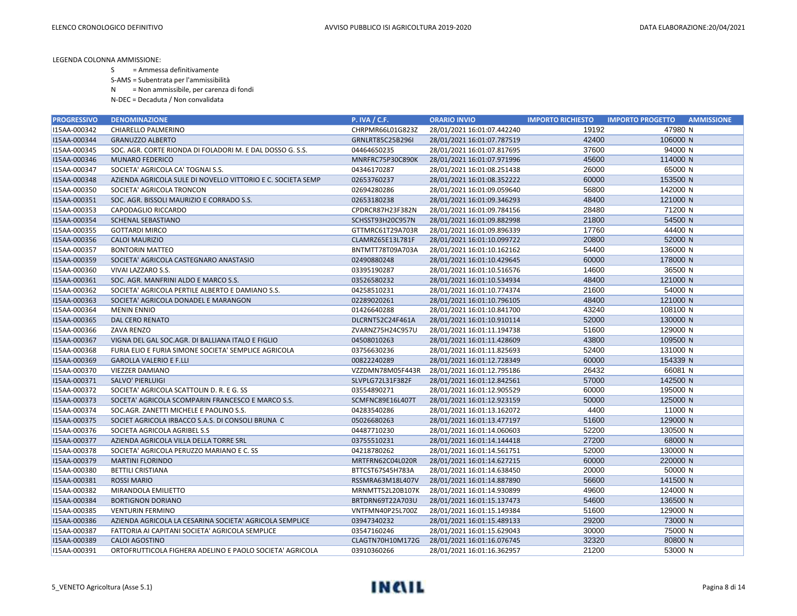- S = Ammessa definitivamente
- S-AMS = Subentrata per l'ammissibilità
- N = Non ammissibile, per carenza di fondi

| <b>PROGRESSIVO</b> | <b>DENOMINAZIONE</b>                                        | <b>P. IVA / C.F.</b> | <b>ORARIO INVIO</b>        | <b>IMPORTO RICHIESTO</b> | <b>IMPORTO PROGETTO</b><br><b>AMMISSIONE</b> |
|--------------------|-------------------------------------------------------------|----------------------|----------------------------|--------------------------|----------------------------------------------|
| I15AA-000342       | CHIARELLO PALMERINO                                         | CHRPMR66L01G823Z     | 28/01/2021 16:01:07.442240 | 19192                    | 47980 N                                      |
| I15AA-000344       | <b>GRANUZZO ALBERTO</b>                                     | GRNLRT85C25B296I     | 28/01/2021 16:01:07.787519 | 42400                    | 106000 N                                     |
| I15AA-000345       | SOC. AGR. CORTE RIONDA DI FOLADORI M. E DAL DOSSO G. S.S.   | 04464650235          | 28/01/2021 16:01:07.817695 | 37600                    | 94000 N                                      |
| I15AA-000346       | <b>MUNARO FEDERICO</b>                                      | MNRFRC75P30C890K     | 28/01/2021 16:01:07.971996 | 45600                    | 114000 N                                     |
| I15AA-000347       | SOCIETA' AGRICOLA CA' TOGNAI S.S.                           | 04346170287          | 28/01/2021 16:01:08.251438 | 26000                    | 65000 N                                      |
| I15AA-000348       | AZIENDA AGRICOLA SULE DI NOVELLO VITTORIO E C. SOCIETA SEMP | 02653760237          | 28/01/2021 16:01:08.352222 | 60000                    | 153500 N                                     |
| I15AA-000350       | SOCIETA' AGRICOLA TRONCON                                   | 02694280286          | 28/01/2021 16:01:09.059640 | 56800                    | 142000 N                                     |
| I15AA-000351       | SOC. AGR. BISSOLI MAURIZIO E CORRADO S.S.                   | 02653180238          | 28/01/2021 16:01:09.346293 | 48400                    | 121000 N                                     |
| I15AA-000353       | CAPODAGLIO RICCARDO                                         | CPDRCR87H23F382N     | 28/01/2021 16:01:09.784156 | 28480                    | 71200 N                                      |
| I15AA-000354       | <b>SCHENAL SEBASTIANO</b>                                   | SCHSST93H20C957N     | 28/01/2021 16:01:09.882998 | 21800                    | 54500 N                                      |
| I15AA-000355       | <b>GOTTARDI MIRCO</b>                                       | GTTMRC61T29A703R     | 28/01/2021 16:01:09.896339 | 17760                    | 44400 N                                      |
| I15AA-000356       | CALOI MAURIZIO                                              | CLAMRZ65E13L781F     | 28/01/2021 16:01:10.099722 | 20800                    | 52000 N                                      |
| I15AA-000357       | <b>BONTORIN MATTEO</b>                                      | BNTMTT78T09A703A     | 28/01/2021 16:01:10.162162 | 54400                    | 136000 N                                     |
| I15AA-000359       | SOCIETA' AGRICOLA CASTEGNARO ANASTASIO                      | 02490880248          | 28/01/2021 16:01:10.429645 | 60000                    | 178000 N                                     |
| I15AA-000360       | VIVAI LAZZARO S.S.                                          | 03395190287          | 28/01/2021 16:01:10.516576 | 14600                    | 36500 N                                      |
| I15AA-000361       | SOC. AGR. MANFRINI ALDO E MARCO S.S.                        | 03526580232          | 28/01/2021 16:01:10.534934 | 48400                    | 121000 N                                     |
| I15AA-000362       | SOCIETA' AGRICOLA PERTILE ALBERTO E DAMIANO S.S.            | 04258510231          | 28/01/2021 16:01:10.774374 | 21600                    | 54000 N                                      |
| I15AA-000363       | SOCIETA' AGRICOLA DONADEL E MARANGON                        | 02289020261          | 28/01/2021 16:01:10.796105 | 48400                    | 121000 N                                     |
| I15AA-000364       | <b>MENIN ENNIO</b>                                          | 01426640288          | 28/01/2021 16:01:10.841700 | 43240                    | 108100 N                                     |
| I15AA-000365       | <b>DAL CERO RENATO</b>                                      | DLCRNT52C24F461A     | 28/01/2021 16:01:10.910114 | 52000                    | 130000 N                                     |
| I15AA-000366       | ZAVA RENZO                                                  | ZVARNZ75H24C957U     | 28/01/2021 16:01:11.194738 | 51600                    | 129000 N                                     |
| I15AA-000367       | VIGNA DEL GAL SOC.AGR. DI BALLIANA ITALO E FIGLIO           | 04508010263          | 28/01/2021 16:01:11.428609 | 43800                    | 109500 N                                     |
| I15AA-000368       | FURIA ELIO E FURIA SIMONE SOCIETA' SEMPLICE AGRICOLA        | 03756630236          | 28/01/2021 16:01:11.825693 | 52400                    | 131000 N                                     |
| I15AA-000369       | <b>GAROLLA VALERIO E F.LLI</b>                              | 00822240289          | 28/01/2021 16:01:12.728349 | 60000                    | 154339 N                                     |
| I15AA-000370       | VIEZZER DAMIANO                                             | VZZDMN78M05F443R     | 28/01/2021 16:01:12.795186 | 26432                    | 66081 N                                      |
| I15AA-000371       | SALVO' PIERLUIGI                                            | SLVPLG72L31F382F     | 28/01/2021 16:01:12.842561 | 57000                    | 142500 N                                     |
| I15AA-000372       | SOCIETA' AGRICOLA SCATTOLIN D. R. E G. SS                   | 03554890271          | 28/01/2021 16:01:12.905529 | 60000                    | 195000 N                                     |
| I15AA-000373       | SOCETA' AGRICOLA SCOMPARIN FRANCESCO E MARCO S.S.           | SCMFNC89E16L407T     | 28/01/2021 16:01:12.923159 | 50000                    | 125000 N                                     |
| I15AA-000374       | SOC.AGR. ZANETTI MICHELE E PAOLINO S.S.                     | 04283540286          | 28/01/2021 16:01:13.162072 | 4400                     | 11000 N                                      |
| I15AA-000375       | SOCIET AGRICOLA IRBACCO S.A.S. DI CONSOLI BRUNA C           | 05026680263          | 28/01/2021 16:01:13.477197 | 51600                    | 129000 N                                     |
| I15AA-000376       | SOCIETA AGRICOLA AGRIBEL S.S                                | 04487710230          | 28/01/2021 16:01:14.060603 | 52200                    | 130500 N                                     |
| I15AA-000377       | AZIENDA AGRICOLA VILLA DELLA TORRE SRL                      | 03755510231          | 28/01/2021 16:01:14.144418 | 27200                    | 68000 N                                      |
| I15AA-000378       | SOCIETA' AGRICOLA PERUZZO MARIANO E C. SS                   | 04218780262          | 28/01/2021 16:01:14.561751 | 52000                    | 130000 N                                     |
| I15AA-000379       | <b>MARTINI FLORINDO</b>                                     | MRTFRN62C04L020R     | 28/01/2021 16:01:14.627215 | 60000                    | 220000 N                                     |
| I15AA-000380       | <b>BETTILI CRISTIANA</b>                                    | BTTCST67S45H783A     | 28/01/2021 16:01:14.638450 | 20000                    | 50000 N                                      |
| I15AA-000381       | <b>ROSSI MARIO</b>                                          | RSSMRA63M18L407V     | 28/01/2021 16:01:14.887890 | 56600                    | 141500 N                                     |
| I15AA-000382       | MIRANDOLA EMILIETTO                                         | MRNMTT52L20B107K     | 28/01/2021 16:01:14.930899 | 49600                    | 124000 N                                     |
| I15AA-000384       | <b>BORTIGNON DORIANO</b>                                    | BRTDRN69T22A703U     | 28/01/2021 16:01:15.137473 | 54600                    | 136500 N                                     |
| I15AA-000385       | <b>VENTURIN FERMINO</b>                                     | VNTFMN40P25L700Z     | 28/01/2021 16:01:15.149384 | 51600                    | 129000 N                                     |
| I15AA-000386       | AZIENDA AGRICOLA LA CESARINA SOCIETA' AGRICOLA SEMPLICE     | 03947340232          | 28/01/2021 16:01:15.489133 | 29200                    | 73000 N                                      |
| I15AA-000387       | FATTORIA AI CAPITANI SOCIETA' AGRICOLA SEMPLICE             | 03547160246          | 28/01/2021 16:01:15.629043 | 30000                    | 75000 N                                      |
| I15AA-000389       | <b>CALOI AGOSTINO</b>                                       | CLAGTN70H10M172G     | 28/01/2021 16:01:16.076745 | 32320                    | 80800 N                                      |
| I15AA-000391       | ORTOFRUTTICOLA FIGHERA ADELINO E PAOLO SOCIETA' AGRICOLA    | 03910360266          | 28/01/2021 16:01:16.362957 | 21200                    | 53000 N                                      |

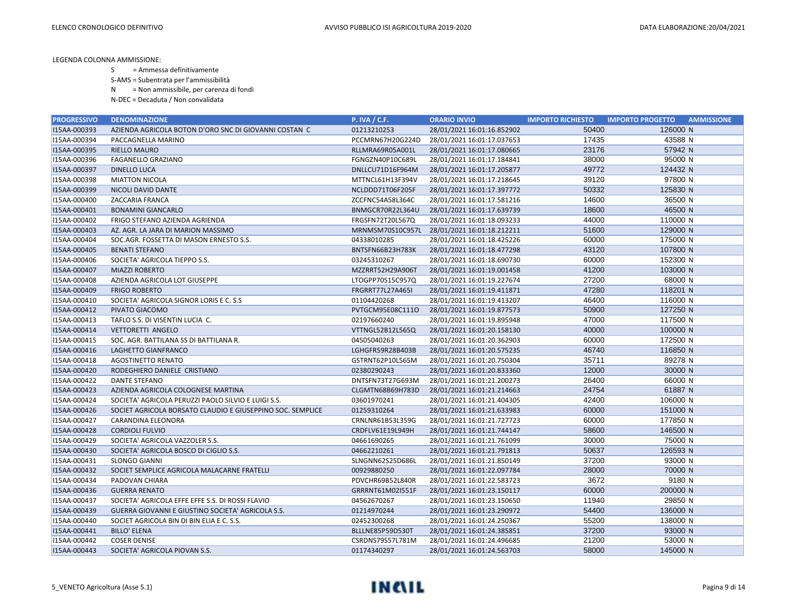S = Ammessa definitivamente

S-AMS = Subentrata per l'ammissibilità

N = Non ammissibile, per carenza di fondi

| <b>PROGRESSIVO</b> | <b>DENOMINAZIONE</b>                                       | <b>P. IVA / C.F.</b>    | <b>ORARIO INVIO</b>        | <b>IMPORTO RICHIESTO</b> | <b>IMPORTO PROGETTO</b><br><b>AMMISSIONE</b> |
|--------------------|------------------------------------------------------------|-------------------------|----------------------------|--------------------------|----------------------------------------------|
| I15AA-000393       | AZIENDA AGRICOLA BOTON D'ORO SNC DI GIOVANNI COSTAN C      | 01213210253             | 28/01/2021 16:01:16.852902 | 50400                    | 126000 N                                     |
| I15AA-000394       | PACCAGNELLA MARINO                                         | PCCMRN67H20G224D        | 28/01/2021 16:01:17.037653 | 17435                    | 43588 N                                      |
| I15AA-000395       | RIELLO MAURO                                               | RLLMRA69R05A001L        | 28/01/2021 16:01:17.080665 | 23176                    | 57942 N                                      |
| I15AA-000396       | FAGANELLO GRAZIANO                                         | FGNGZN40P10C689L        | 28/01/2021 16:01:17.184841 | 38000                    | 95000 N                                      |
| I15AA-000397       | <b>DINELLO LUCA</b>                                        | DNLLCU71D16F964M        | 28/01/2021 16:01:17.205877 | 49772                    | 124432 N                                     |
| I15AA-000398       | <b>MIATTON NICOLA</b>                                      | MTTNCL61H13F394V        | 28/01/2021 16:01:17.218645 | 39120                    | 97800 N                                      |
| I15AA-000399       | NICOLI DAVID DANTE                                         | NCLDDD71T06F205F        | 28/01/2021 16:01:17.397772 | 50332                    | 125830 N                                     |
| I15AA-000400       | ZACCARIA FRANCA                                            | ZCCFNC54A58L364C        | 28/01/2021 16:01:17.581216 | 14600                    | 36500 N                                      |
| I15AA-000401       | <b>BONAMINI GIANCARLO</b>                                  | BNMGCR70R22L364U        | 28/01/2021 16:01:17.639739 | 18600                    | 46500 N                                      |
| I15AA-000402       | FRIGO STEFANO AZIENDA AGRIENDA                             | FRGSFN72T20L567Q        | 28/01/2021 16:01:18.093233 | 44000                    | 110000 N                                     |
| I15AA-000403       | AZ. AGR. LA JARA DI MARION MASSIMO                         | MRNMSM70S10C957L        | 28/01/2021 16:01:18.212211 | 51600                    | 129000 N                                     |
| I15AA-000404       | SOC.AGR. FOSSETTA DI MASON ERNESTO S.S.                    | 04338010285             | 28/01/2021 16:01:18.425226 | 60000                    | 175000 N                                     |
| I15AA-000405       | <b>BENATI STEFANO</b>                                      | BNTSFN66B23H783K        | 28/01/2021 16:01:18.477298 | 43120                    | 107800 N                                     |
| I15AA-000406       | SOCIETA' AGRICOLA TIEPPO S.S.                              | 03245310267             | 28/01/2021 16:01:18.690730 | 60000                    | 152300 N                                     |
| I15AA-000407       | <b>MIAZZI ROBERTO</b>                                      | MZZRRT52H29A906T        | 28/01/2021 16:01:19.001458 | 41200                    | 103000 N                                     |
| I15AA-000408       | AZIENDA AGRICOLA LOT GIUSEPPE                              | LTOGPP70S15C957Q        | 28/01/2021 16:01:19.227674 | 27200                    | 68000 N                                      |
| I15AA-000409       | <b>FRIGO ROBERTO</b>                                       | <b>FRGRRT77L27A465I</b> | 28/01/2021 16:01:19.411871 | 47280                    | 118201 N                                     |
| I15AA-000410       | SOCIETA' AGRICOLA SIGNOR LORIS E C. S.S.                   | 01104420268             | 28/01/2021 16:01:19.413207 | 46400                    | 116000 N                                     |
| I15AA-000412       | PIVATO GIACOMO                                             | PVTGCM95E08C111O        | 28/01/2021 16:01:19.877573 | 50900                    | 127250 N                                     |
| I15AA-000413       | TAFLO S.S. DI VISENTIN LUCIA C.                            | 02197660240             | 28/01/2021 16:01:19.895948 | 47000                    | 117500 N                                     |
| I15AA-000414       | <b>VETTORETTI ANGELO</b>                                   | VTTNGL52B12L565Q        | 28/01/2021 16:01:20.158130 | 40000                    | 100000 N                                     |
| I15AA-000415       | SOC. AGR. BATTILANA SS DI BATTILANA R.                     | 04505040263             | 28/01/2021 16:01:20.362903 | 60000                    | 172500 N                                     |
| I15AA-000416       | LAGHETTO GIANFRANCO                                        | LGHGFR59R28B403B        | 28/01/2021 16:01:20.575235 | 46740                    | 116850 N                                     |
| I15AA-000418       | <b>AGOSTINETTO RENATO</b>                                  | GSTRNT62P10L565M        | 28/01/2021 16:01:20.750304 | 35711                    | 89278 N                                      |
| I15AA-000420       | RODEGHIERO DANIELE CRISTIANO                               | 02380290243             | 28/01/2021 16:01:20.833360 | 12000                    | 30000 N                                      |
| I15AA-000422       | <b>DANTE STEFANO</b>                                       | DNTSFN73T27G693M        | 28/01/2021 16:01:21.200273 | 26400                    | 66000 N                                      |
| I15AA-000423       | AZIENDA AGRICOLA COLOGNESE MARTINA                         | CLGMTN68B69H783D        | 28/01/2021 16:01:21.214663 | 24754                    | 61887 N                                      |
| I15AA-000424       | SOCIETA' AGRICOLA PERUZZI PAOLO SILVIO E LUIGI S.S.        | 03601970241             | 28/01/2021 16:01:21.404305 | 42400                    | 106000 N                                     |
| I15AA-000426       | SOCIET AGRICOLA BORSATO CLAUDIO E GIUSEPPINO SOC. SEMPLICE | 01259310264             | 28/01/2021 16:01:21.633983 | 60000                    | 151000 N                                     |
| I15AA-000427       | CARANDINA ELEONORA                                         | CRNLNR61B53L359G        | 28/01/2021 16:01:21.727723 | 60000                    | 177850 N                                     |
| I15AA-000428       | <b>CORDIOLI FULVIO</b>                                     | CRDFLV61E19L949H        | 28/01/2021 16:01:21.744147 | 58600                    | 146500 N                                     |
| I15AA-000429       | SOCIETA' AGRICOLA VAZZOLER S.S.                            | 04661690265             | 28/01/2021 16:01:21.761099 | 30000                    | 75000 N                                      |
| I15AA-000430       | SOCIETA' AGRICOLA BOSCO DI CIGLIO S.S.                     | 04662210261             | 28/01/2021 16:01:21.791813 | 50637                    | 126593 N                                     |
| I15AA-000431       | <b>SLONGO GIANNI</b>                                       | SLNGNN62S25D686L        | 28/01/2021 16:01:21.850149 | 37200                    | 93000 N                                      |
| I15AA-000432       | SOCIET SEMPLICE AGRICOLA MALACARNE FRATELLI                | 00929880250             | 28/01/2021 16:01:22.097784 | 28000                    | 70000 N                                      |
| I15AA-000434       | PADOVAN CHIARA                                             | PDVCHR69B52L840R        | 28/01/2021 16:01:22.583723 | 3672                     | 9180 N                                       |
| I15AA-000436       | <b>GUERRA RENATO</b>                                       | GRRRNT61M02I551F        | 28/01/2021 16:01:23.150117 | 60000                    | 200000 N                                     |
| I15AA-000437       | SOCIETA' AGRICOLA EFFE EFFE S.S. DI ROSSI FLAVIO           | 04562670267             | 28/01/2021 16:01:23.150650 | 11940                    | 29850 N                                      |
| I15AA-000439       | GUERRA GIOVANNI E GIUSTINO SOCIETA' AGRICOLA S.S.          | 01214970244             | 28/01/2021 16:01:23.290972 | 54400                    | 136000 N                                     |
| I15AA-000440       | SOCIET AGRICOLA BIN DI BIN ELIA E C. S.S.                  | 02452300268             | 28/01/2021 16:01:24.250367 | 55200                    | 138000 N                                     |
| I15AA-000441       | <b>BILLO' ELENA</b>                                        | BLLLNE85P59D530T        | 28/01/2021 16:01:24.385851 | 37200                    | 93000 N                                      |
| I15AA-000442       | <b>COSER DENISE</b>                                        | CSRDNS79S57L781M        | 28/01/2021 16:01:24.496685 | 21200                    | 53000 N                                      |
| I15AA-000443       | SOCIETA' AGRICOLA PIOVAN S.S.                              | 01174340297             | 28/01/2021 16:01:24.563703 | 58000                    | 145000 N                                     |

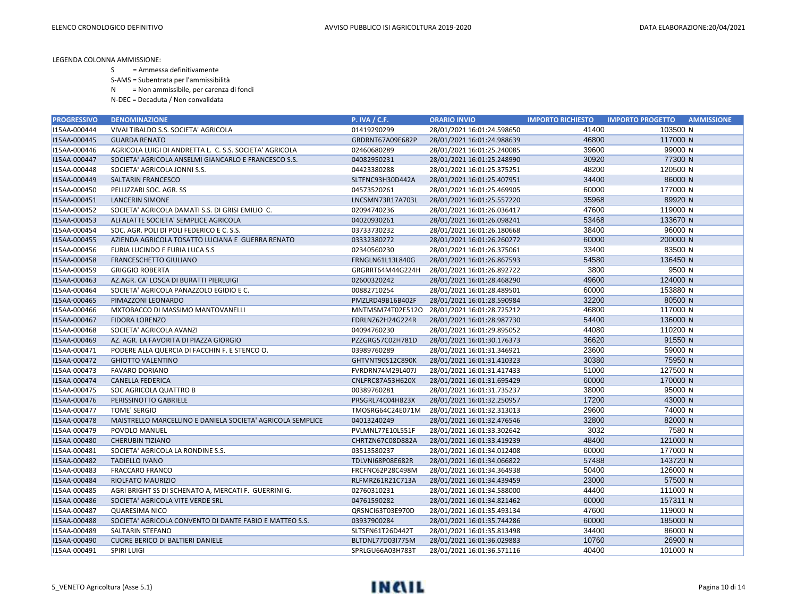S = Ammessa definitivamente

S-AMS = Subentrata per l'ammissibilità

N = Non ammissibile, per carenza di fondi

| <b>PROGRESSIVO</b> | <b>DENOMINAZIONE</b>                                       | <b>P. IVA / C.F.</b> | <b>ORARIO INVIO</b>        | <b>IMPORTO RICHIESTO</b> | <b>AMMISSIONE</b><br><b>IMPORTO PROGETTO</b> |
|--------------------|------------------------------------------------------------|----------------------|----------------------------|--------------------------|----------------------------------------------|
| I15AA-000444       | VIVAI TIBALDO S.S. SOCIETA' AGRICOLA                       | 01419290299          | 28/01/2021 16:01:24.598650 | 41400                    | 103500 N                                     |
| I15AA-000445       | <b>GUARDA RENATO</b>                                       | GRDRNT67A09E682P     | 28/01/2021 16:01:24.988639 | 46800                    | 117000 N                                     |
| I15AA-000446       | AGRICOLA LUIGI DI ANDRETTA L. C. S.S. SOCIETA' AGRICOLA    | 02460680289          | 28/01/2021 16:01:25.240085 | 39600                    | 99000 N                                      |
| I15AA-000447       | SOCIETA' AGRICOLA ANSELMI GIANCARLO E FRANCESCO S.S.       | 04082950231          | 28/01/2021 16:01:25.248990 | 30920                    | 77300 N                                      |
| I15AA-000448       | SOCIETA' AGRICOLA JONNI S.S.                               | 04423380288          | 28/01/2021 16:01:25.375251 | 48200                    | 120500 N                                     |
| I15AA-000449       | SALTARIN FRANCESCO                                         | SLTFNC93H30D442A     | 28/01/2021 16:01:25.407951 | 34400                    | 86000 N                                      |
| I15AA-000450       | PELLIZZARI SOC. AGR. SS                                    | 04573520261          | 28/01/2021 16:01:25.469905 | 60000                    | 177000 N                                     |
| I15AA-000451       | LANCERIN SIMONE                                            | LNCSMN73R17A703L     | 28/01/2021 16:01:25.557220 | 35968                    | 89920 N                                      |
| I15AA-000452       | SOCIETA' AGRICOLA DAMATI S.S. DI GRISI EMILIO C.           | 02094740236          | 28/01/2021 16:01:26.036417 | 47600                    | 119000 N                                     |
| I15AA-000453       | ALFALATTE SOCIETA' SEMPLICE AGRICOLA                       | 04020930261          | 28/01/2021 16:01:26.098241 | 53468                    | 133670 N                                     |
| I15AA-000454       | SOC. AGR. POLI DI POLI FEDERICO E C. S.S.                  | 03733730232          | 28/01/2021 16:01:26.180668 | 38400                    | 96000 N                                      |
| I15AA-000455       | AZIENDA AGRICOLA TOSATTO LUCIANA E GUERRA RENATO           | 03332380272          | 28/01/2021 16:01:26.260272 | 60000                    | 200000 N                                     |
| I15AA-000456       | FURIA LUCINDO E FURIA LUCA S.S                             | 02340560230          | 28/01/2021 16:01:26.375061 | 33400                    | 83500 N                                      |
| I15AA-000458       | FRANCESCHETTO GIULIANO                                     | FRNGLN61L13L840G     | 28/01/2021 16:01:26.867593 | 54580                    | 136450 N                                     |
| I15AA-000459       | <b>GRIGGIO ROBERTA</b>                                     | GRGRRT64M44G224H     | 28/01/2021 16:01:26.892722 | 3800                     | 9500 N                                       |
| I15AA-000463       | AZ.AGR. CA' LOSCA DI BURATTI PIERLUIGI                     | 02600320242          | 28/01/2021 16:01:28.468290 | 49600                    | 124000 N                                     |
| I15AA-000464       | SOCIETA' AGRICOLA PANAZZOLO EGIDIO E C.                    | 00882710254          | 28/01/2021 16:01:28.489501 | 60000                    | 153880 N                                     |
| I15AA-000465       | PIMAZZONI LEONARDO                                         | PMZLRD49B16B402F     | 28/01/2021 16:01:28.590984 | 32200                    | 80500 N                                      |
| I15AA-000466       | MXTOBACCO DI MASSIMO MANTOVANELLI                          | MNTMSM74T02E512O     | 28/01/2021 16:01:28.725212 | 46800                    | 117000 N                                     |
| I15AA-000467       | <b>FIDORA LORENZO</b>                                      | FDRLNZ62H24G224R     | 28/01/2021 16:01:28.987730 | 54400                    | 136000 N                                     |
| I15AA-000468       | SOCIETA' AGRICOLA AVANZI                                   | 04094760230          | 28/01/2021 16:01:29.895052 | 44080                    | 110200 N                                     |
| I15AA-000469       | AZ. AGR. LA FAVORITA DI PIAZZA GIORGIO                     | PZZGRG57C02H781D     | 28/01/2021 16:01:30.176373 | 36620                    | 91550 N                                      |
| I15AA-000471       | PODERE ALLA QUERCIA DI FACCHIN F. E STENCO O.              | 03989760289          | 28/01/2021 16:01:31.346921 | 23600                    | 59000 N                                      |
| I15AA-000472       | <b>GHIOTTO VALENTINO</b>                                   | GHTVNT90S12C890K     | 28/01/2021 16:01:31.410323 | 30380                    | 75950 N                                      |
| I15AA-000473       | <b>FAVARO DORIANO</b>                                      | FVRDRN74M29L407J     | 28/01/2021 16:01:31.417433 | 51000                    | 127500 N                                     |
| I15AA-000474       | <b>CANELLA FEDERICA</b>                                    | CNLFRC87A53H620X     | 28/01/2021 16:01:31.695429 | 60000                    | 170000 N                                     |
| I15AA-000475       | SOC AGRICOLA QUATTRO B                                     | 00389760281          | 28/01/2021 16:01:31.735237 | 38000                    | 95000 N                                      |
| I15AA-000476       | PERISSINOTTO GABRIELE                                      | PRSGRL74C04H823X     | 28/01/2021 16:01:32.250957 | 17200                    | 43000 N                                      |
| I15AA-000477       | <b>TOME' SERGIO</b>                                        | TMOSRG64C24E071M     | 28/01/2021 16:01:32.313013 | 29600                    | 74000 N                                      |
| I15AA-000478       | MAISTRELLO MARCELLINO E DANIELA SOCIETA' AGRICOLA SEMPLICE | 04013240249          | 28/01/2021 16:01:32.476546 | 32800                    | 82000 N                                      |
| I15AA-000479       | POVOLO MANUEL                                              | PVLMNL77E10L551F     | 28/01/2021 16:01:33.302642 | 3032                     | 7580 N                                       |
| I15AA-000480       | <b>CHERUBIN TIZIANO</b>                                    | CHRTZN67C08D882A     | 28/01/2021 16:01:33.419239 | 48400                    | 121000 N                                     |
| I15AA-000481       | SOCIETA' AGRICOLA LA RONDINE S.S.                          | 03513580237          | 28/01/2021 16:01:34.012408 | 60000                    | 177000 N                                     |
| I15AA-000482       | <b>TADIELLO IVANO</b>                                      | TDLVNI68P08E682R     | 28/01/2021 16:01:34.066822 | 57488                    | 143720 N                                     |
| I15AA-000483       | <b>FRACCARO FRANCO</b>                                     | FRCFNC62P28C498M     | 28/01/2021 16:01:34.364938 | 50400                    | 126000 N                                     |
| I15AA-000484       | RIOLFATO MAURIZIO                                          | RLFMRZ61R21C713A     | 28/01/2021 16:01:34.439459 | 23000                    | 57500 N                                      |
| I15AA-000485       | AGRI BRIGHT SS DI SCHENATO A, MERCATI F. GUERRINI G.       | 02760310231          | 28/01/2021 16:01:34.588000 | 44400                    | 111000 N                                     |
| I15AA-000486       | SOCIETA' AGRICOLA VITE VERDE SRL                           | 04761590282          | 28/01/2021 16:01:34.821462 | 60000                    | 157311 N                                     |
| I15AA-000487       | <b>QUARESIMA NICO</b>                                      | QRSNCI63T03E970D     | 28/01/2021 16:01:35.493134 | 47600                    | 119000 N                                     |
| I15AA-000488       | SOCIETA' AGRICOLA CONVENTO DI DANTE FABIO E MATTEO S.S.    | 03937900284          | 28/01/2021 16:01:35.744286 | 60000                    | 185000 N                                     |
| I15AA-000489       | SALTARIN STEFANO                                           | SLTSFN61T26D442T     | 28/01/2021 16:01:35.813498 | 34400                    | 86000 N                                      |
| I15AA-000490       | <b>CUORE BERICO DI BALTIERI DANIELE</b>                    | BLTDNL77D03I775M     | 28/01/2021 16:01:36.029883 | 10760                    | 26900 N                                      |
| I15AA-000491       | <b>SPIRI LUIGI</b>                                         | SPRLGU66A03H783T     | 28/01/2021 16:01:36.571116 | 40400                    | 101000 N                                     |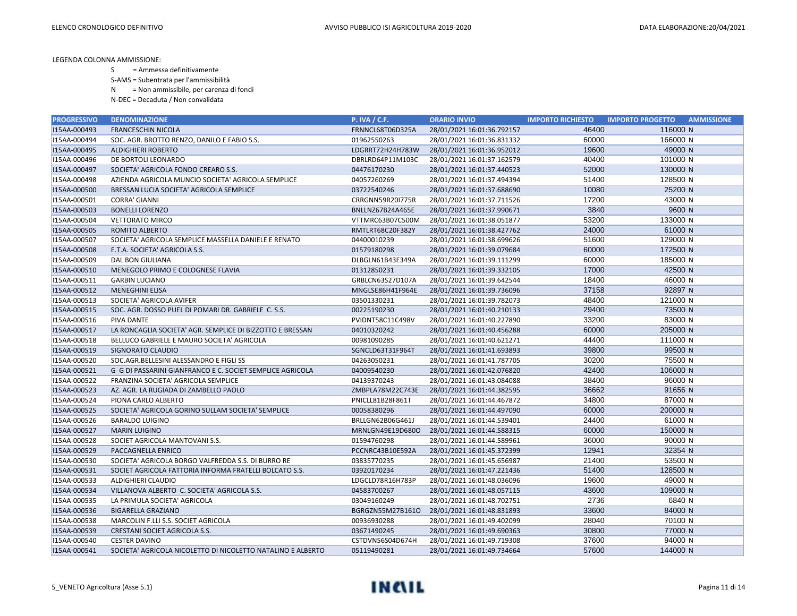- S = Ammessa definitivamente
- S-AMS = Subentrata per l'ammissibilità
- N = Non ammissibile, per carenza di fondi
- N-DEC = Decaduta / Non convalidata

| <b>PROGRESSIVO</b> | <b>DENOMINAZIONE</b>                                        | <b>P. IVA / C.F.</b> | <b>ORARIO INVIO</b>        | <b>IMPORTO RICHIESTO</b> | <b>IMPORTO PROGETTO</b><br><b>AMMISSIONE</b> |
|--------------------|-------------------------------------------------------------|----------------------|----------------------------|--------------------------|----------------------------------------------|
| I15AA-000493       | <b>FRANCESCHIN NICOLA</b>                                   | FRNNCL68T06D325A     | 28/01/2021 16:01:36.792157 | 46400                    | 116000 N                                     |
| I15AA-000494       | SOC. AGR. BROTTO RENZO, DANILO E FABIO S.S.                 | 01962550263          | 28/01/2021 16:01:36.831332 | 60000                    | 166000 N                                     |
| I15AA-000495       | <b>ALDIGHIERI ROBERTO</b>                                   | LDGRRT72H24H783W     | 28/01/2021 16:01:36.952012 | 19600                    | 49000 N                                      |
| I15AA-000496       | DE BORTOLI LEONARDO                                         | DBRLRD64P11M103C     | 28/01/2021 16:01:37.162579 | 40400                    | 101000 N                                     |
| I15AA-000497       | SOCIETA' AGRICOLA FONDO CREARO S.S.                         | 04476170230          | 28/01/2021 16:01:37.440523 | 52000                    | 130000 N                                     |
| I15AA-000498       | AZIENDA AGRICOLA MUNCIO SOCIETA' AGRICOLA SEMPLICE          | 04057260269          | 28/01/2021 16:01:37.494394 | 51400                    | 128500 N                                     |
| I15AA-000500       | BRESSAN LUCIA SOCIETA' AGRICOLA SEMPLICE                    | 03722540246          | 28/01/2021 16:01:37.688690 | 10080                    | 25200 N                                      |
| I15AA-000501       | <b>CORRA' GIANNI</b>                                        | CRRGNN59R20I775R     | 28/01/2021 16:01:37.711526 | 17200                    | 43000 N                                      |
| I15AA-000503       | <b>BONELLI LORENZO</b>                                      | BNLLNZ67B24A465E     | 28/01/2021 16:01:37.990671 | 3840                     | 9600 N                                       |
| I15AA-000504       | <b>VETTORATO MIRCO</b>                                      | VTTMRC63B07C500M     | 28/01/2021 16:01:38.051877 | 53200                    | 133000 N                                     |
| I15AA-000505       | ROMITO ALBERTO                                              | RMTLRT68C20F382Y     | 28/01/2021 16:01:38.427762 | 24000                    | 61000 N                                      |
| I15AA-000507       | SOCIETA' AGRICOLA SEMPLICE MASSELLA DANIELE E RENATO        | 04400010239          | 28/01/2021 16:01:38.699626 | 51600                    | 129000 N                                     |
| I15AA-000508       | E.T.A. SOCIETA' AGRICOLA S.S.                               | 01579180298          | 28/01/2021 16:01:39.079684 | 60000                    | 172500 N                                     |
| I15AA-000509       | <b>DAL BON GIULIANA</b>                                     | DLBGLN61B43E349A     | 28/01/2021 16:01:39.111299 | 60000                    | 185000 N                                     |
| I15AA-000510       | MENEGOLO PRIMO E COLOGNESE FLAVIA                           | 01312850231          | 28/01/2021 16:01:39.332105 | 17000                    | 42500 N                                      |
| I15AA-000511       | <b>GARBIN LUCIANO</b>                                       | GRBLCN63S27D107A     | 28/01/2021 16:01:39.642544 | 18400                    | 46000 N                                      |
| I15AA-000512       | <b>MENEGHINI ELISA</b>                                      | MNGLSE86H41F964E     | 28/01/2021 16:01:39.736096 | 37158                    | 92897 N                                      |
| I15AA-000513       | SOCIETA' AGRICOLA AVIFER                                    | 03501330231          | 28/01/2021 16:01:39.782073 | 48400                    | 121000 N                                     |
| I15AA-000515       | SOC. AGR. DOSSO PUEL DI POMARI DR. GABRIELE C. S.S.         | 00225190230          | 28/01/2021 16:01:40.210133 | 29400                    | 73500 N                                      |
| I15AA-000516       | PIVA DANTE                                                  | PVIDNT58C11C498V     | 28/01/2021 16:01:40.227890 | 33200                    | 83000 N                                      |
| I15AA-000517       | LA RONCAGLIA SOCIETA' AGR. SEMPLICE DI BIZZOTTO E BRESSAN   | 04010320242          | 28/01/2021 16:01:40.456288 | 60000                    | 205000 N                                     |
| I15AA-000518       | BELLUCO GABRIELE E MAURO SOCIETA' AGRICOLA                  | 00981090285          | 28/01/2021 16:01:40.621271 | 44400                    | 111000 N                                     |
| I15AA-000519       | SIGNORATO CLAUDIO                                           | SGNCLD63T31F964T     | 28/01/2021 16:01:41.693893 | 39800                    | 99500 N                                      |
| I15AA-000520       | SOC.AGR.BELLESINI ALESSANDRO E FIGLI SS                     | 04263050231          | 28/01/2021 16:01:41.787705 | 30200                    | 75500 N                                      |
| I15AA-000521       | G G DI PASSARINI GIANFRANCO E C. SOCIET SEMPLICE AGRICOLA   | 04009540230          | 28/01/2021 16:01:42.076820 | 42400                    | 106000 N                                     |
| I15AA-000522       | FRANZINA SOCIETA' AGRICOLA SEMPLICE                         | 04139370243          | 28/01/2021 16:01:43.084088 | 38400                    | 96000 N                                      |
| I15AA-000523       | AZ. AGR. LA RUGIADA DI ZAMBELLO PAOLO                       | ZMBPLA78M22C743E     | 28/01/2021 16:01:44.382595 | 36662                    | 91656 N                                      |
| I15AA-000524       | PIONA CARLO ALBERTO                                         | PNICLL81B28F861T     | 28/01/2021 16:01:44.467872 | 34800                    | 87000 N                                      |
| I15AA-000525       | SOCIETA' AGRICOLA GORINO SULLAM SOCIETA' SEMPLICE           | 00058380296          | 28/01/2021 16:01:44.497090 | 60000                    | 200000 N                                     |
| I15AA-000526       | <b>BARALDO LUIGINO</b>                                      | BRLLGN62B06G461J     | 28/01/2021 16:01:44.539401 | 24400                    | 61000 N                                      |
| I15AA-000527       | <b>MARIN LUIGINO</b>                                        | MRNLGN49E19D680O     | 28/01/2021 16:01:44.588315 | 60000                    | 150000 N                                     |
| I15AA-000528       | SOCIET AGRICOLA MANTOVANI S.S.                              | 01594760298          | 28/01/2021 16:01:44.589961 | 36000                    | 90000 N                                      |
| I15AA-000529       | PACCAGNELLA ENRICO                                          | PCCNRC43B10E592A     | 28/01/2021 16:01:45.372399 | 12941                    | 32354 N                                      |
| I15AA-000530       | SOCIETA' AGRICOLA BORGO VALFREDDA S.S. DI BURRO RE          | 03835770235          | 28/01/2021 16:01:45.656987 | 21400                    | 53500 N                                      |
| I15AA-000531       | SOCIET AGRICOLA FATTORIA INFORMA FRATELLI BOLCATO S.S.      | 03920170234          | 28/01/2021 16:01:47.221436 | 51400                    | 128500 N                                     |
| I15AA-000533       | <b>ALDIGHIERI CLAUDIO</b>                                   | LDGCLD78R16H783P     | 28/01/2021 16:01:48.036096 | 19600                    | 49000 N                                      |
| I15AA-000534       | VILLANOVA ALBERTO C. SOCIETA' AGRICOLA S.S.                 | 04583700267          | 28/01/2021 16:01:48.057115 | 43600                    | 109000 N                                     |
| I15AA-000535       | LA PRIMULA SOCIETA' AGRICOLA                                | 03049160249          | 28/01/2021 16:01:48.702751 | 2736                     | 6840 N                                       |
| I15AA-000536       | <b>BIGARELLA GRAZIANO</b>                                   | BGRGZN55M27B161O     | 28/01/2021 16:01:48.831893 | 33600                    | 84000 N                                      |
| I15AA-000538       | MARCOLIN F.LLI S.S. SOCIET AGRICOLA                         | 00936930288          | 28/01/2021 16:01:49.402099 | 28040                    | 70100 N                                      |
| I15AA-000539       | <b>CRESTANI SOCIET AGRICOLA S.S.</b>                        | 03671490245          | 28/01/2021 16:01:49.690363 | 30800                    | 77000 N                                      |
| I15AA-000540       | <b>CESTER DAVINO</b>                                        | CSTDVN56S04D674H     | 28/01/2021 16:01:49.719308 | 37600                    | 94000 N                                      |
| I15AA-000541       | SOCIETA' AGRICOLA NICOLETTO DI NICOLETTO NATALINO E ALBERTO | 05119490281          | 28/01/2021 16:01:49.734664 | 57600                    | 144000 N                                     |

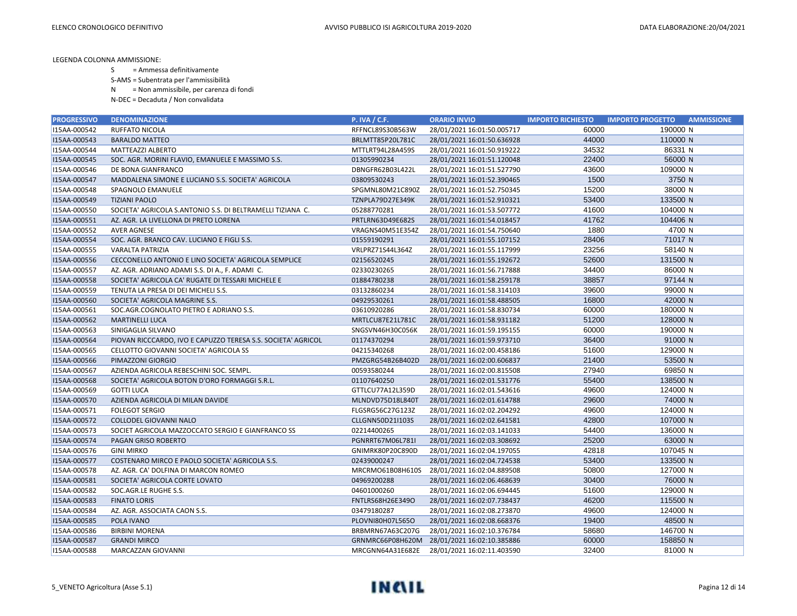- S = Ammessa definitivamente
- S-AMS = Subentrata per l'ammissibilità
- N = Non ammissibile, per carenza di fondi
- N-DEC = Decaduta / Non convalidata

| <b>PROGRESSIVO</b> | <b>DENOMINAZIONE</b>                                         | <b>P. IVA / C.F.</b> | <b>ORARIO INVIO</b>        | <b>IMPORTO RICHIESTO</b> | <b>IMPORTO PROGETTO</b><br><b>AMMISSIONE</b> |
|--------------------|--------------------------------------------------------------|----------------------|----------------------------|--------------------------|----------------------------------------------|
| I15AA-000542       | RUFFATO NICOLA                                               | RFFNCL89S30B563W     | 28/01/2021 16:01:50.005717 | 60000                    | 190000 N                                     |
| I15AA-000543       | <b>BARALDO MATTEO</b>                                        | BRLMTT85P20L781C     | 28/01/2021 16:01:50.636928 | 44000                    | 110000 N                                     |
| I15AA-000544       | <b>MATTEAZZI ALBERTO</b>                                     | MTTLRT94L28A459S     | 28/01/2021 16:01:50.919222 | 34532                    | 86331 N                                      |
| I15AA-000545       | SOC. AGR. MORINI FLAVIO, EMANUELE E MASSIMO S.S.             | 01305990234          | 28/01/2021 16:01:51.120048 | 22400                    | 56000 N                                      |
| I15AA-000546       | DE BONA GIANFRANCO                                           | DBNGFR62B03L422L     | 28/01/2021 16:01:51.527790 | 43600                    | 109000 N                                     |
| I15AA-000547       | MADDALENA SIMONE E LUCIANO S.S. SOCIETA' AGRICOLA            | 03809530243          | 28/01/2021 16:01:52.390465 | 1500                     | 3750 N                                       |
| I15AA-000548       | SPAGNOLO EMANUELE                                            | SPGMNL80M21C890Z     | 28/01/2021 16:01:52.750345 | 15200                    | 38000 N                                      |
| I15AA-000549       | <b>TIZIANI PAOLO</b>                                         | TZNPLA79D27E349K     | 28/01/2021 16:01:52.910321 | 53400                    | 133500 N                                     |
| I15AA-000550       | SOCIETA' AGRICOLA S.ANTONIO S.S. DI BELTRAMELLI TIZIANA C.   | 05288770281          | 28/01/2021 16:01:53.507772 | 41600                    | 104000 N                                     |
| I15AA-000551       | AZ. AGR. LA LIVELLONA DI PRETO LORENA                        | PRTLRN63D49E682S     | 28/01/2021 16:01:54.018457 | 41762                    | 104406 N                                     |
| I15AA-000552       | <b>AVER AGNESE</b>                                           | VRAGNS40M51E354Z     | 28/01/2021 16:01:54.750640 | 1880                     | 4700 N                                       |
| I15AA-000554       | SOC. AGR. BRANCO CAV. LUCIANO E FIGLI S.S.                   | 01559190291          | 28/01/2021 16:01:55.107152 | 28406                    | 71017 N                                      |
| I15AA-000555       | VARALTA PATRIZIA                                             | VRLPRZ71S44L364Z     | 28/01/2021 16:01:55.117999 | 23256                    | 58140 N                                      |
| I15AA-000556       | CECCONELLO ANTONIO E LINO SOCIETA' AGRICOLA SEMPLICE         | 02156520245          | 28/01/2021 16:01:55.192672 | 52600                    | 131500 N                                     |
| I15AA-000557       | AZ. AGR. ADRIANO ADAMI S.S. DI A., F. ADAMI C.               | 02330230265          | 28/01/2021 16:01:56.717888 | 34400                    | 86000 N                                      |
| I15AA-000558       | SOCIETA' AGRICOLA CA' RUGATE DI TESSARI MICHELE E            | 01884780238          | 28/01/2021 16:01:58.259178 | 38857                    | 97144 N                                      |
| I15AA-000559       | TENUTA LA PRESA DI DEI MICHELI S.S.                          | 03132860234          | 28/01/2021 16:01:58.314103 | 39600                    | 99000 N                                      |
| I15AA-000560       | SOCIETA' AGRICOLA MAGRINE S.S.                               | 04929530261          | 28/01/2021 16:01:58.488505 | 16800                    | 42000 N                                      |
| I15AA-000561       | SOC.AGR.COGNOLATO PIETRO E ADRIANO S.S.                      | 03610920286          | 28/01/2021 16:01:58.830734 | 60000                    | 180000 N                                     |
| I15AA-000562       | <b>MARTINELLI LUCA</b>                                       | MRTLCU87E21L781C     | 28/01/2021 16:01:58.931182 | 51200                    | 128000 N                                     |
| I15AA-000563       | SINIGAGLIA SILVANO                                           | SNGSVN46H30C056K     | 28/01/2021 16:01:59.195155 | 60000                    | 190000 N                                     |
| I15AA-000564       | PIOVAN RICCCARDO, IVO E CAPUZZO TERESA S.S. SOCIETA' AGRICOL | 01174370294          | 28/01/2021 16:01:59.973710 | 36400                    | 91000 N                                      |
| I15AA-000565       | CELLOTTO GIOVANNI SOCIETA' AGRICOLA SS                       | 04215340268          | 28/01/2021 16:02:00.458186 | 51600                    | 129000 N                                     |
| I15AA-000566       | PIMAZZONI GIORGIO                                            | PMZGRG54B26B402D     | 28/01/2021 16:02:00.606837 | 21400                    | 53500 N                                      |
| I15AA-000567       | AZIENDA AGRICOLA REBESCHINI SOC. SEMPL.                      | 00593580244          | 28/01/2021 16:02:00.815508 | 27940                    | 69850 N                                      |
| I15AA-000568       | SOCIETA' AGRICOLA BOTON D'ORO FORMAGGI S.R.L.                | 01107640250          | 28/01/2021 16:02:01.531776 | 55400                    | 138500 N                                     |
| I15AA-000569       | <b>GOTTI LUCA</b>                                            | GTTLCU77A12L359D     | 28/01/2021 16:02:01.543616 | 49600                    | 124000 N                                     |
| I15AA-000570       | AZIENDA AGRICOLA DI MILAN DAVIDE                             | MLNDVD75D18L840T     | 28/01/2021 16:02:01.614788 | 29600                    | 74000 N                                      |
| I15AA-000571       | <b>FOLEGOT SERGIO</b>                                        | FLGSRG56C27G123Z     | 28/01/2021 16:02:02.204292 | 49600                    | 124000 N                                     |
| I15AA-000572       | COLLODEL GIOVANNI NALO                                       | CLLGNN50D21I103S     | 28/01/2021 16:02:02.641581 | 42800                    | 107000 N                                     |
| I15AA-000573       | SOCIET AGRICOLA MAZZOCCATO SERGIO E GIANFRANCO SS            | 02214400265          | 28/01/2021 16:02:03.141033 | 54400                    | 136000 N                                     |
| I15AA-000574       | PAGAN GRISO ROBERTO                                          | PGNRRT67M06L781I     | 28/01/2021 16:02:03.308692 | 25200                    | 63000 N                                      |
| I15AA-000576       | <b>GINI MIRKO</b>                                            | GNIMRK80P20C890D     | 28/01/2021 16:02:04.197055 | 42818                    | 107045 N                                     |
| I15AA-000577       | COSTENARO MIRCO E PAOLO SOCIETA' AGRICOLA S.S.               | 02439000247          | 28/01/2021 16:02:04.724538 | 53400                    | 133500 N                                     |
| I15AA-000578       | AZ. AGR. CA' DOLFINA DI MARCON ROMEO                         | MRCRMO61B08H610S     | 28/01/2021 16:02:04.889508 | 50800                    | 127000 N                                     |
| I15AA-000581       | SOCIETA' AGRICOLA CORTE LOVATO                               | 04969200288          | 28/01/2021 16:02:06.468639 | 30400                    | 76000 N                                      |
| I15AA-000582       | SOC.AGR.LE RUGHE S.S.                                        | 04601000260          | 28/01/2021 16:02:06.694445 | 51600                    | 129000 N                                     |
| I15AA-000583       | <b>FINATO LORIS</b>                                          | FNTLRS68H26E349O     | 28/01/2021 16:02:07.738437 | 46200                    | 115500 N                                     |
| I15AA-000584       | AZ. AGR. ASSOCIATA CAON S.S.                                 | 03479180287          | 28/01/2021 16:02:08.273870 | 49600                    | 124000 N                                     |
| I15AA-000585       | POLA IVANO                                                   | PLOVNI80H07L565O     | 28/01/2021 16:02:08.668376 | 19400                    | 48500 N                                      |
| I15AA-000586       | <b>BIRBINI MORENA</b>                                        | BRBMRN67A63C207G     | 28/01/2021 16:02:10.376784 | 58680                    | 146700 N                                     |
| I15AA-000587       | <b>GRANDI MIRCO</b>                                          | GRNMRC66P08H620M     | 28/01/2021 16:02:10.385886 | 60000                    | 158850 N                                     |
| I15AA-000588       | MARCAZZAN GIOVANNI                                           | MRCGNN64A31E682E     | 28/01/2021 16:02:11.403590 | 32400                    | 81000 N                                      |

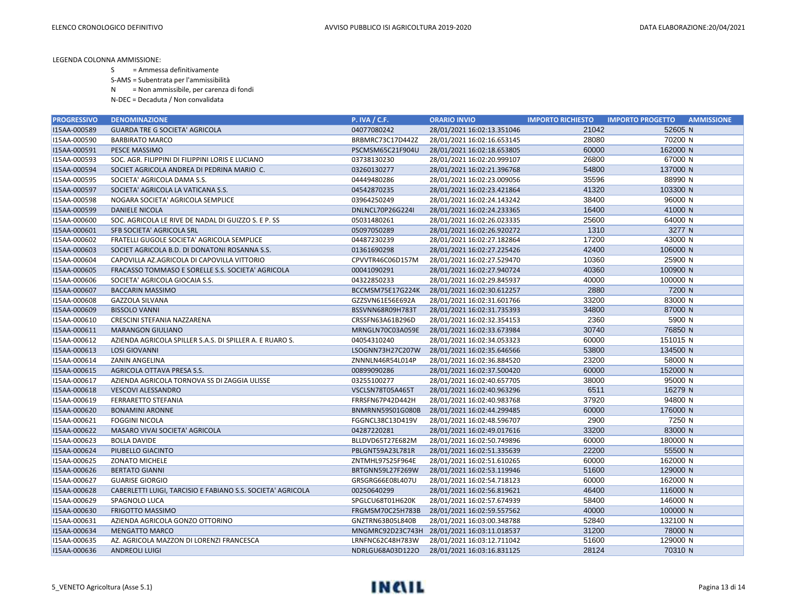S = Ammessa definitivamente

S-AMS = Subentrata per l'ammissibilità

N = Non ammissibile, per carenza di fondi

| <b>PROGRESSIVO</b> | <b>DENOMINAZIONE</b>                                        | <b>P. IVA / C.F.</b> | <b>ORARIO INVIO</b>        | <b>IMPORTO RICHIESTO</b> | <b>IMPORTO PROGETTO</b><br><b>AMMISSIONE</b> |
|--------------------|-------------------------------------------------------------|----------------------|----------------------------|--------------------------|----------------------------------------------|
| I15AA-000589       | <b>GUARDA TRE G SOCIETA' AGRICOLA</b>                       | 04077080242          | 28/01/2021 16:02:13.351046 | 21042                    | 52605 N                                      |
| I15AA-000590       | <b>BARBIRATO MARCO</b>                                      | BRBMRC73C17D442Z     | 28/01/2021 16:02:16.653145 | 28080                    | 70200 N                                      |
| I15AA-000591       | PESCE MASSIMO                                               | PSCMSM65C21F904U     | 28/01/2021 16:02:18.653805 | 60000                    | 162000 N                                     |
| I15AA-000593       | SOC. AGR. FILIPPINI DI FILIPPINI LORIS E LUCIANO            | 03738130230          | 28/01/2021 16:02:20.999107 | 26800                    | 67000 N                                      |
| I15AA-000594       | SOCIET AGRICOLA ANDREA DI PEDRINA MARIO C.                  | 03260130277          | 28/01/2021 16:02:21.396768 | 54800                    | 137000 N                                     |
| I15AA-000595       | SOCIETA' AGRICOLA DAMA S.S.                                 | 04449480286          | 28/01/2021 16:02:23.009056 | 35596                    | 88990 N                                      |
| I15AA-000597       | SOCIETA' AGRICOLA LA VATICANA S.S.                          | 04542870235          | 28/01/2021 16:02:23.421864 | 41320                    | 103300 N                                     |
| I15AA-000598       | NOGARA SOCIETA' AGRICOLA SEMPLICE                           | 03964250249          | 28/01/2021 16:02:24.143242 | 38400                    | 96000 N                                      |
| I15AA-000599       | <b>DANIELE NICOLA</b>                                       | DNLNCL70P26G224I     | 28/01/2021 16:02:24.233365 | 16400                    | 41000 N                                      |
| I15AA-000600       | SOC. AGRICOLA LE RIVE DE NADAL DI GUIZZO S. E P. SS         | 05031480261          | 28/01/2021 16:02:26.023335 | 25600                    | 64000 N                                      |
| I15AA-000601       | SFB SOCIETA' AGRICOLA SRL                                   | 05097050289          | 28/01/2021 16:02:26.920272 | 1310                     | 3277 N                                       |
| I15AA-000602       | FRATELLI GUGOLE SOCIETA' AGRICOLA SEMPLICE                  | 04487230239          | 28/01/2021 16:02:27.182864 | 17200                    | 43000 N                                      |
| I15AA-000603       | SOCIET AGRICOLA B.D. DI DONATONI ROSANNA S.S.               | 01361690298          | 28/01/2021 16:02:27.225426 | 42400                    | 106000 N                                     |
| I15AA-000604       | CAPOVILLA AZ.AGRICOLA DI CAPOVILLA VITTORIO                 | CPVVTR46C06D157M     | 28/01/2021 16:02:27.529470 | 10360                    | 25900 N                                      |
| I15AA-000605       | FRACASSO TOMMASO E SORELLE S.S. SOCIETA' AGRICOLA           | 00041090291          | 28/01/2021 16:02:27.940724 | 40360                    | 100900 N                                     |
| I15AA-000606       | SOCIETA' AGRICOLA GIOCAIA S.S.                              | 04322850233          | 28/01/2021 16:02:29.845937 | 40000                    | 100000 N                                     |
| I15AA-000607       | <b>BACCARIN MASSIMO</b>                                     | BCCMSM75E17G224K     | 28/01/2021 16:02:30.612257 | 2880                     | 7200 N                                       |
| I15AA-000608       | <b>GAZZOLA SILVANA</b>                                      | GZZSVN61E56E692A     | 28/01/2021 16:02:31.601766 | 33200                    | 83000 N                                      |
| I15AA-000609       | <b>BISSOLO VANNI</b>                                        | BSSVNN68R09H783T     | 28/01/2021 16:02:31.735393 | 34800                    | 87000 N                                      |
| I15AA-000610       | CRESCINI STEFANIA NAZZARENA                                 | CRSSFN63A61B296D     | 28/01/2021 16:02:32.354153 | 2360                     | 5900 N                                       |
| I15AA-000611       | <b>MARANGON GIULIANO</b>                                    | MRNGLN70C03A059E     | 28/01/2021 16:02:33.673984 | 30740                    | 76850 N                                      |
| I15AA-000612       | AZIENDA AGRICOLA SPILLER S.A.S. DI SPILLER A. E RUARO S.    | 04054310240          | 28/01/2021 16:02:34.053323 | 60000                    | 151015 N                                     |
| I15AA-000613       | <b>LOSI GIOVANNI</b>                                        | LSOGNN73H27C207W     | 28/01/2021 16:02:35.646566 | 53800                    | 134500 N                                     |
| I15AA-000614       | ZANIN ANGELINA                                              | ZNNNLN46R54L014P     | 28/01/2021 16:02:36.884520 | 23200                    | 58000 N                                      |
| I15AA-000615       | AGRICOLA OTTAVA PRESA S.S.                                  | 00899090286          | 28/01/2021 16:02:37.500420 | 60000                    | 152000 N                                     |
| I15AA-000617       | AZIENDA AGRICOLA TORNOVA SS DI ZAGGIA ULISSE                | 03255100277          | 28/01/2021 16:02:40.657705 | 38000                    | 95000 N                                      |
| I15AA-000618       | <b>VESCOVI ALESSANDRO</b>                                   | VSCLSN78T05A465T     | 28/01/2021 16:02:40.963296 | 6511                     | 16279 N                                      |
| I15AA-000619       | FERRARETTO STEFANIA                                         | FRRSFN67P42D442H     | 28/01/2021 16:02:40.983768 | 37920                    | 94800 N                                      |
| I15AA-000620       | <b>BONAMINI ARONNE</b>                                      | BNMRNN59S01G080B     | 28/01/2021 16:02:44.299485 | 60000                    | 176000 N                                     |
| I15AA-000621       | <b>FOGGINI NICOLA</b>                                       | FGGNCL38C13D419V     | 28/01/2021 16:02:48.596707 | 2900                     | 7250 N                                       |
| I15AA-000622       | MASARO VIVAI SOCIETA' AGRICOLA                              | 04287220281          | 28/01/2021 16:02:49.017616 | 33200                    | 83000 N                                      |
| I15AA-000623       | <b>BOLLA DAVIDE</b>                                         | BLLDVD65T27E682M     | 28/01/2021 16:02:50.749896 | 60000                    | 180000 N                                     |
| I15AA-000624       | PIUBELLO GIACINTO                                           | PBLGNT59A23L781R     | 28/01/2021 16:02:51.335639 | 22200                    | 55500 N                                      |
| I15AA-000625       | <b>ZONATO MICHELE</b>                                       | ZNTMHL97S25F964E     | 28/01/2021 16:02:51.610265 | 60000                    | 162000 N                                     |
| I15AA-000626       | <b>BERTATO GIANNI</b>                                       | BRTGNN59L27F269W     | 28/01/2021 16:02:53.119946 | 51600                    | 129000 N                                     |
| I15AA-000627       | <b>GUARISE GIORGIO</b>                                      | GRSGRG66E08L407U     | 28/01/2021 16:02:54.718123 | 60000                    | 162000 N                                     |
| I15AA-000628       | CABERLETTI LUIGI, TARCISIO E FABIANO S.S. SOCIETA' AGRICOLA | 00250640299          | 28/01/2021 16:02:56.819621 | 46400                    | 116000 N                                     |
| I15AA-000629       | SPAGNOLO LUCA                                               | SPGLCU68T01H620K     | 28/01/2021 16:02:57.674939 | 58400                    | 146000 N                                     |
| I15AA-000630       | <b>FRIGOTTO MASSIMO</b>                                     | FRGMSM70C25H783B     | 28/01/2021 16:02:59.557562 | 40000                    | 100000 N                                     |
| I15AA-000631       | AZIENDA AGRICOLA GONZO OTTORINO                             | GNZTRN63B05L840B     | 28/01/2021 16:03:00.348788 | 52840                    | 132100 N                                     |
| I15AA-000634       | <b>MENGATTO MARCO</b>                                       | MNGMRC92D23C743H     | 28/01/2021 16:03:11.018537 | 31200                    | 78000 N                                      |
| I15AA-000635       | AZ. AGRICOLA MAZZON DI LORENZI FRANCESCA                    | LRNFNC62C48H783W     | 28/01/2021 16:03:12.711042 | 51600                    | 129000 N                                     |
| I15AA-000636       | ANDREOLI LUIGI                                              | NDRLGU68A03D122O     | 28/01/2021 16:03:16.831125 | 28124                    | 70310 N                                      |